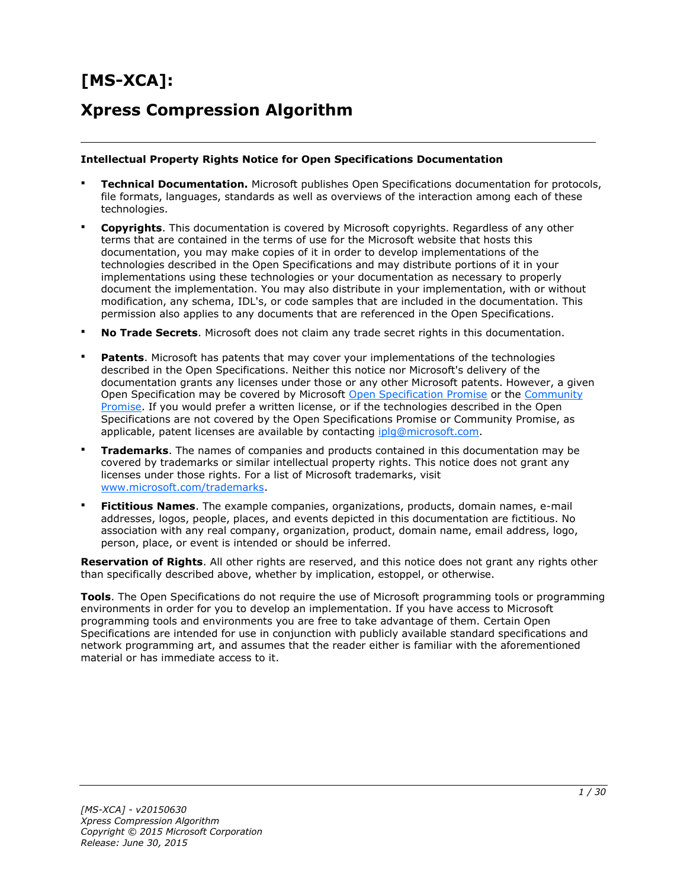# **[MS-XCA]:**

## **Xpress Compression Algorithm**

#### **Intellectual Property Rights Notice for Open Specifications Documentation**

- **Technical Documentation.** Microsoft publishes Open Specifications documentation for protocols, file formats, languages, standards as well as overviews of the interaction among each of these technologies.
- **Copyrights**. This documentation is covered by Microsoft copyrights. Regardless of any other terms that are contained in the terms of use for the Microsoft website that hosts this documentation, you may make copies of it in order to develop implementations of the technologies described in the Open Specifications and may distribute portions of it in your implementations using these technologies or your documentation as necessary to properly document the implementation. You may also distribute in your implementation, with or without modification, any schema, IDL's, or code samples that are included in the documentation. This permission also applies to any documents that are referenced in the Open Specifications.
- **No Trade Secrets**. Microsoft does not claim any trade secret rights in this documentation.
- **Patents**. Microsoft has patents that may cover your implementations of the technologies described in the Open Specifications. Neither this notice nor Microsoft's delivery of the documentation grants any licenses under those or any other Microsoft patents. However, a given Open Specification may be covered by Microsoft [Open Specification Promise](http://go.microsoft.com/fwlink/?LinkId=214445) or the Community [Promise.](http://go.microsoft.com/fwlink/?LinkId=214448) If you would prefer a written license, or if the technologies described in the Open Specifications are not covered by the Open Specifications Promise or Community Promise, as applicable, patent licenses are available by contacting [iplg@microsoft.com.](mailto:iplg@microsoft.com)
- **Trademarks**. The names of companies and products contained in this documentation may be covered by trademarks or similar intellectual property rights. This notice does not grant any licenses under those rights. For a list of Microsoft trademarks, visit [www.microsoft.com/trademarks.](http://www.microsoft.com/trademarks)
- **Fictitious Names**. The example companies, organizations, products, domain names, e-mail addresses, logos, people, places, and events depicted in this documentation are fictitious. No association with any real company, organization, product, domain name, email address, logo, person, place, or event is intended or should be inferred.

**Reservation of Rights**. All other rights are reserved, and this notice does not grant any rights other than specifically described above, whether by implication, estoppel, or otherwise.

**Tools**. The Open Specifications do not require the use of Microsoft programming tools or programming environments in order for you to develop an implementation. If you have access to Microsoft programming tools and environments you are free to take advantage of them. Certain Open Specifications are intended for use in conjunction with publicly available standard specifications and network programming art, and assumes that the reader either is familiar with the aforementioned material or has immediate access to it.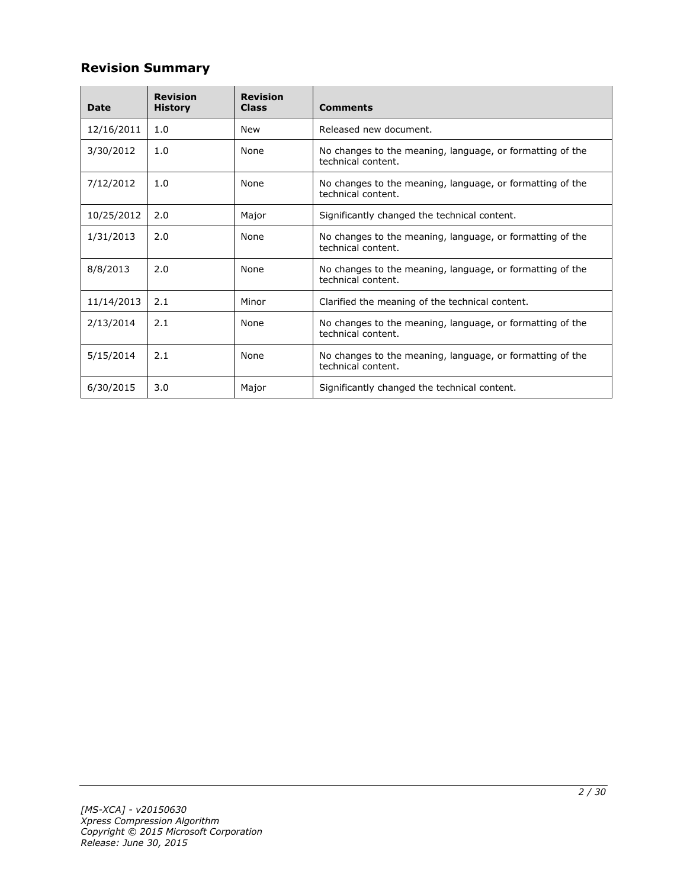## **Revision Summary**

| <b>Date</b> | <b>Revision</b><br><b>History</b> | <b>Revision</b><br><b>Class</b> | <b>Comments</b>                                                                 |  |  |
|-------------|-----------------------------------|---------------------------------|---------------------------------------------------------------------------------|--|--|
| 12/16/2011  | 1.0                               | New                             | Released new document.                                                          |  |  |
| 3/30/2012   | 1.0                               | None                            | No changes to the meaning, language, or formatting of the<br>technical content. |  |  |
| 7/12/2012   | 1.0                               | None                            | No changes to the meaning, language, or formatting of the<br>technical content. |  |  |
| 10/25/2012  | 2.0                               | Major                           | Significantly changed the technical content.                                    |  |  |
| 1/31/2013   | 2.0                               | None                            | No changes to the meaning, language, or formatting of the<br>technical content. |  |  |
| 8/8/2013    | 2.0                               | None                            | No changes to the meaning, language, or formatting of the<br>technical content. |  |  |
| 11/14/2013  | 2.1                               | Minor                           | Clarified the meaning of the technical content.                                 |  |  |
| 2/13/2014   | 2.1                               | None                            | No changes to the meaning, language, or formatting of the<br>technical content. |  |  |
| 5/15/2014   | 2.1                               | None                            | No changes to the meaning, language, or formatting of the<br>technical content. |  |  |
| 6/30/2015   | 3.0                               | Major                           | Significantly changed the technical content.                                    |  |  |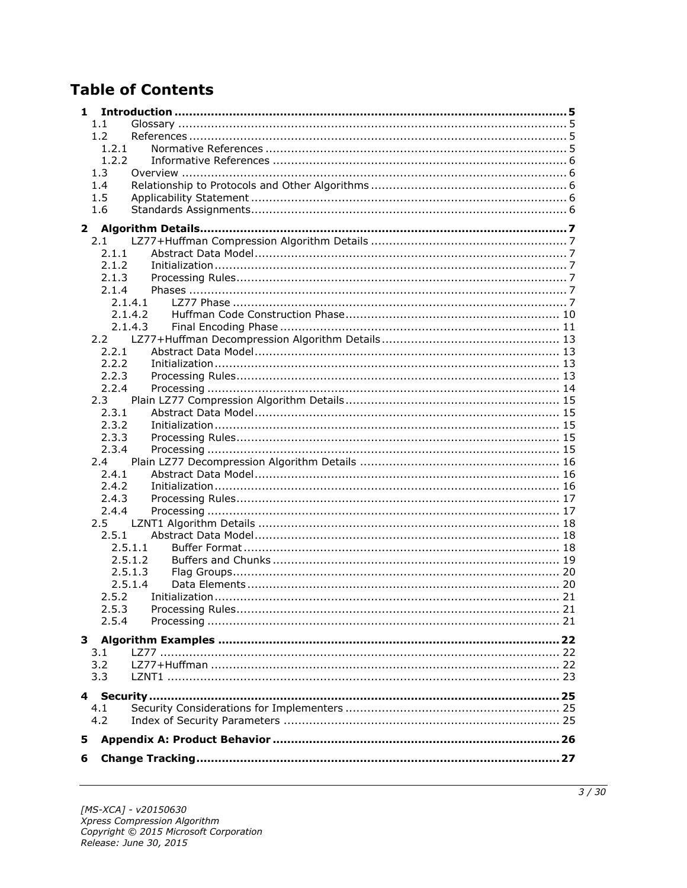## **Table of Contents**

| 1              |         |
|----------------|---------|
| 1.1            |         |
| 1.2            |         |
| 1.2.1          |         |
| 1.2.2          |         |
| 1.3            |         |
| 1.4            |         |
| 1.5            |         |
| 1.6            |         |
| $\mathbf{2}$   |         |
| 2.1            |         |
| 2.1.1          |         |
| 2.1.2          |         |
| 2.1.3          |         |
| 2.1.4          |         |
|                | 2.1.4.1 |
|                | 2.1.4.2 |
|                | 2.1.4.3 |
|                |         |
| 2.2.1          |         |
| 2.2.2          |         |
| 2.2.3          |         |
| 2.2.4          |         |
| 2.3            |         |
| 2.3.1          |         |
| 2.3.2          |         |
| 2.3.3          |         |
| 2.3.4          |         |
| 2.4            |         |
| 2.4.1          |         |
| 2.4.2          |         |
| 2.4.3<br>2.4.4 |         |
| $2.5^{\circ}$  |         |
| 2.5.1          |         |
|                | 2.5.1.1 |
|                | 2.5.1.2 |
|                | 2.5.1.3 |
|                | 2.5.1.4 |
| 2.5.2          |         |
| 2.5.3          |         |
| 2.5.4          |         |
|                |         |
|                |         |
| 3.1            |         |
| 3.2            |         |
| 3.3            |         |
|                |         |
| 4.1            |         |
| 4.2            |         |
| 5              |         |
|                |         |
| 6              |         |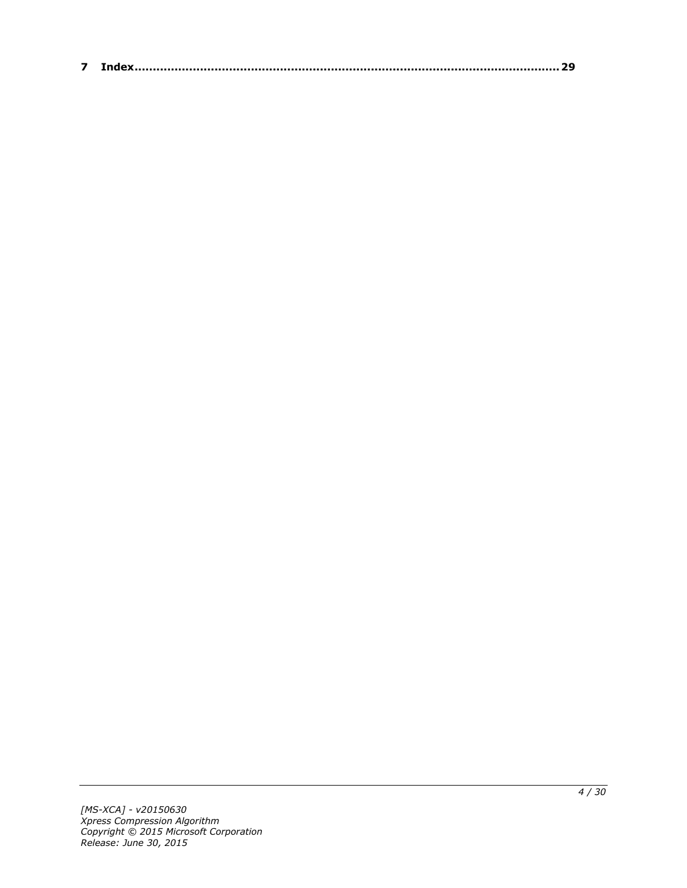| – |  |
|---|--|
|---|--|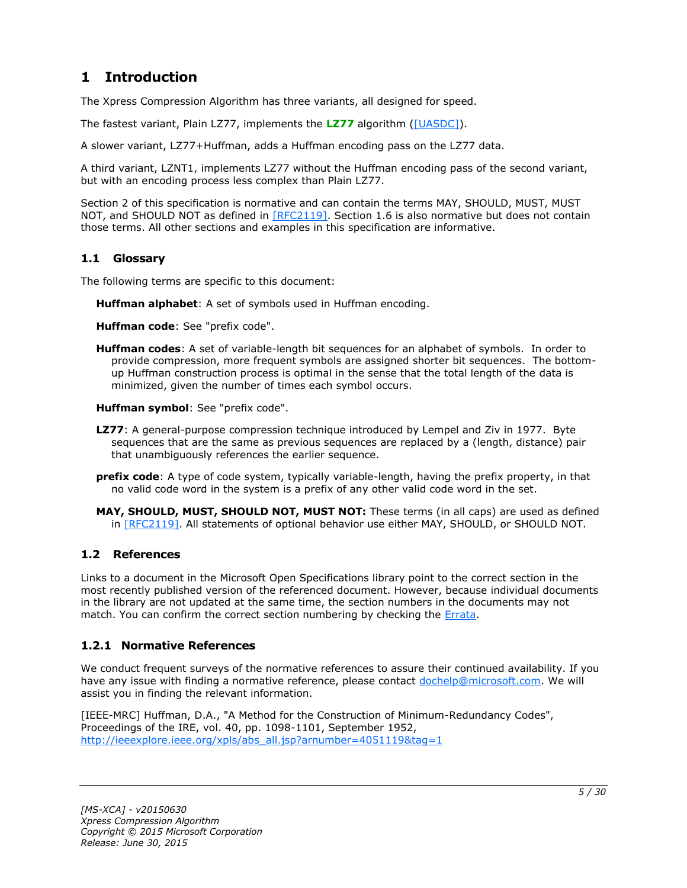## <span id="page-4-0"></span>**1 Introduction**

The Xpress Compression Algorithm has three variants, all designed for speed.

The fastest variant, Plain LZ77, implements the **[LZ77](#page-4-4)** algorithm [\(\[UASDC\]\)](http://go.microsoft.com/fwlink/?LinkId=90549).

A slower variant, LZ77+Huffman, adds a Huffman encoding pass on the LZ77 data.

A third variant, LZNT1, implements LZ77 without the Huffman encoding pass of the second variant, but with an encoding process less complex than Plain LZ77.

Section 2 of this specification is normative and can contain the terms MAY, SHOULD, MUST, MUST NOT, and SHOULD NOT as defined in [\[RFC2119\].](http://go.microsoft.com/fwlink/?LinkId=90317) Section 1.6 is also normative but does not contain those terms. All other sections and examples in this specification are informative.

#### <span id="page-4-1"></span>**1.1 Glossary**

The following terms are specific to this document:

<span id="page-4-7"></span>**Huffman alphabet**: A set of symbols used in Huffman encoding.

<span id="page-4-8"></span>**Huffman code**: See "prefix code".

<span id="page-4-6"></span>**Huffman codes**: A set of variable-length bit sequences for an alphabet of symbols. In order to provide compression, more frequent symbols are assigned shorter bit sequences. The bottomup Huffman construction process is optimal in the sense that the total length of the data is minimized, given the number of times each symbol occurs.

<span id="page-4-9"></span>**Huffman symbol**: See "prefix code".

- <span id="page-4-4"></span>**LZ77**: A general-purpose compression technique introduced by Lempel and Ziv in 1977. Byte sequences that are the same as previous sequences are replaced by a (length, distance) pair that unambiguously references the earlier sequence.
- <span id="page-4-5"></span>**prefix code**: A type of code system, typically variable-length, having the prefix property, in that no valid code word in the system is a prefix of any other valid code word in the set.
- **MAY, SHOULD, MUST, SHOULD NOT, MUST NOT:** These terms (in all caps) are used as defined in [\[RFC2119\].](http://go.microsoft.com/fwlink/?LinkId=90317) All statements of optional behavior use either MAY, SHOULD, or SHOULD NOT.

## <span id="page-4-2"></span>**1.2 References**

Links to a document in the Microsoft Open Specifications library point to the correct section in the most recently published version of the referenced document. However, because individual documents in the library are not updated at the same time, the section numbers in the documents may not match. You can confirm the correct section numbering by checking the [Errata.](http://msdn.microsoft.com/en-us/library/dn781092.aspx)

## <span id="page-4-3"></span>**1.2.1 Normative References**

We conduct frequent surveys of the normative references to assure their continued availability. If you have any issue with finding a normative reference, please contact [dochelp@microsoft.com.](mailto:dochelp@microsoft.com) We will assist you in finding the relevant information.

[IEEE-MRC] Huffman, D.A., "A Method for the Construction of Minimum-Redundancy Codes", Proceedings of the IRE, vol. 40, pp. 1098-1101, September 1952, [http://ieeexplore.ieee.org/xpls/abs\\_all.jsp?arnumber=4051119&tag=1](http://go.microsoft.com/fwlink/?LinkId=227659)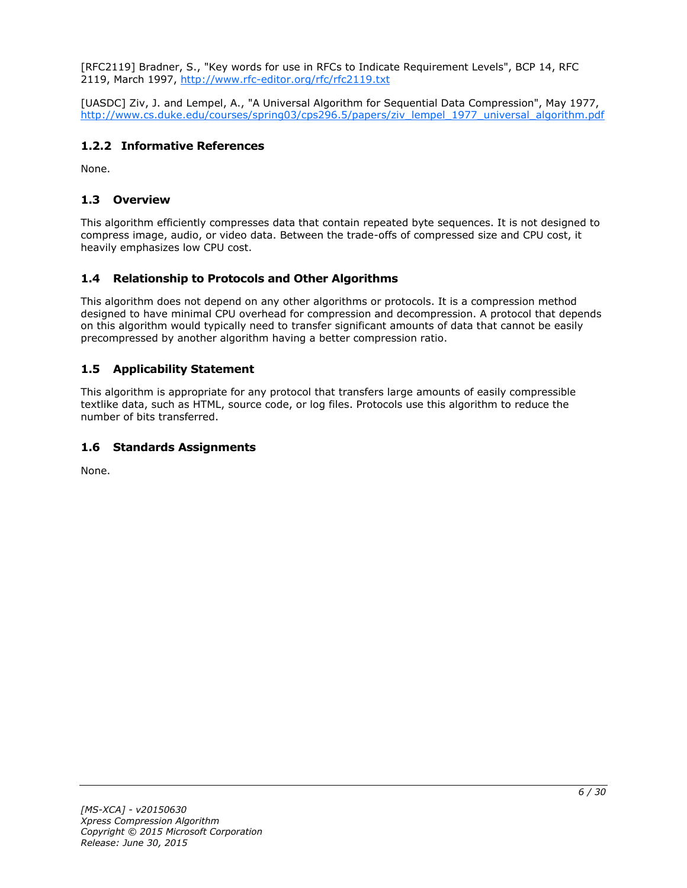[RFC2119] Bradner, S., "Key words for use in RFCs to Indicate Requirement Levels", BCP 14, RFC 2119, March 1997, [http://www.rfc-editor.org/rfc/rfc2119.txt](http://go.microsoft.com/fwlink/?LinkId=90317)

[UASDC] Ziv, J. and Lempel, A., "A Universal Algorithm for Sequential Data Compression", May 1977, [http://www.cs.duke.edu/courses/spring03/cps296.5/papers/ziv\\_lempel\\_1977\\_universal\\_algorithm.pdf](http://go.microsoft.com/fwlink/?LinkId=90549)

## <span id="page-5-0"></span>**1.2.2 Informative References**

None.

## <span id="page-5-1"></span>**1.3 Overview**

This algorithm efficiently compresses data that contain repeated byte sequences. It is not designed to compress image, audio, or video data. Between the trade-offs of compressed size and CPU cost, it heavily emphasizes low CPU cost.

## <span id="page-5-2"></span>**1.4 Relationship to Protocols and Other Algorithms**

This algorithm does not depend on any other algorithms or protocols. It is a compression method designed to have minimal CPU overhead for compression and decompression. A protocol that depends on this algorithm would typically need to transfer significant amounts of data that cannot be easily precompressed by another algorithm having a better compression ratio.

## <span id="page-5-3"></span>**1.5 Applicability Statement**

This algorithm is appropriate for any protocol that transfers large amounts of easily compressible textlike data, such as HTML, source code, or log files. Protocols use this algorithm to reduce the number of bits transferred.

## <span id="page-5-4"></span>**1.6 Standards Assignments**

None.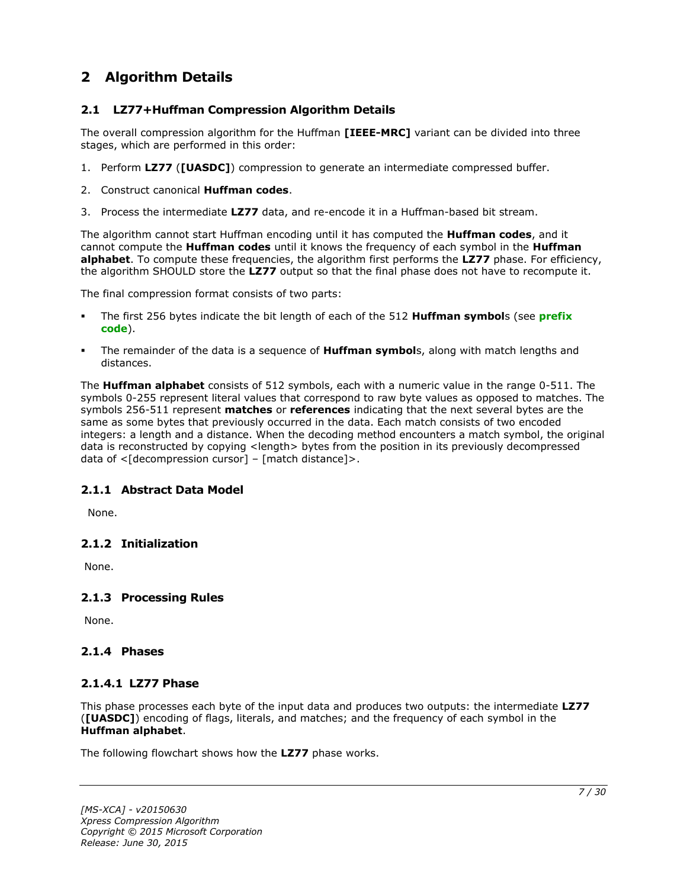## <span id="page-6-0"></span>**2 Algorithm Details**

## <span id="page-6-1"></span>**2.1 LZ77+Huffman Compression Algorithm Details**

The overall compression algorithm for the Huffman **[IEEE-MRC]** variant can be divided into three stages, which are performed in this order:

- 1. Perform **LZ77** (**[UASDC]**) compression to generate an intermediate compressed buffer.
- 2. Construct canonical **Huffman codes**.
- 3. Process the intermediate **LZ77** data, and re-encode it in a Huffman-based bit stream.

The algorithm cannot start Huffman encoding until it has computed the **Huffman codes**, and it cannot compute the **Huffman codes** until it knows the frequency of each symbol in the **Huffman alphabet**. To compute these frequencies, the algorithm first performs the **LZ77** phase. For efficiency, the algorithm SHOULD store the **LZ77** output so that the final phase does not have to recompute it.

The final compression format consists of two parts:

- The first 256 bytes indicate the bit length of each of the 512 **Huffman symbol**s (see **[prefix](#page-4-5)  [code](#page-4-5)**).
- The remainder of the data is a sequence of **Huffman symbol**s, along with match lengths and distances.

The **Huffman alphabet** consists of 512 symbols, each with a numeric value in the range 0-511. The symbols 0-255 represent literal values that correspond to raw byte values as opposed to matches. The symbols 256-511 represent **matches** or **references** indicating that the next several bytes are the same as some bytes that previously occurred in the data. Each match consists of two encoded integers: a length and a distance. When the decoding method encounters a match symbol, the original data is reconstructed by copying <length> bytes from the position in its previously decompressed data of  $\leq$ [decompression cursor] – [match distance]>.

## <span id="page-6-2"></span>**2.1.1 Abstract Data Model**

None.

## <span id="page-6-3"></span>**2.1.2 Initialization**

None.

## <span id="page-6-4"></span>**2.1.3 Processing Rules**

None.

#### <span id="page-6-5"></span>**2.1.4 Phases**

#### <span id="page-6-6"></span>**2.1.4.1 LZ77 Phase**

This phase processes each byte of the input data and produces two outputs: the intermediate **LZ77** (**[UASDC]**) encoding of flags, literals, and matches; and the frequency of each symbol in the **Huffman alphabet**.

The following flowchart shows how the **LZ77** phase works.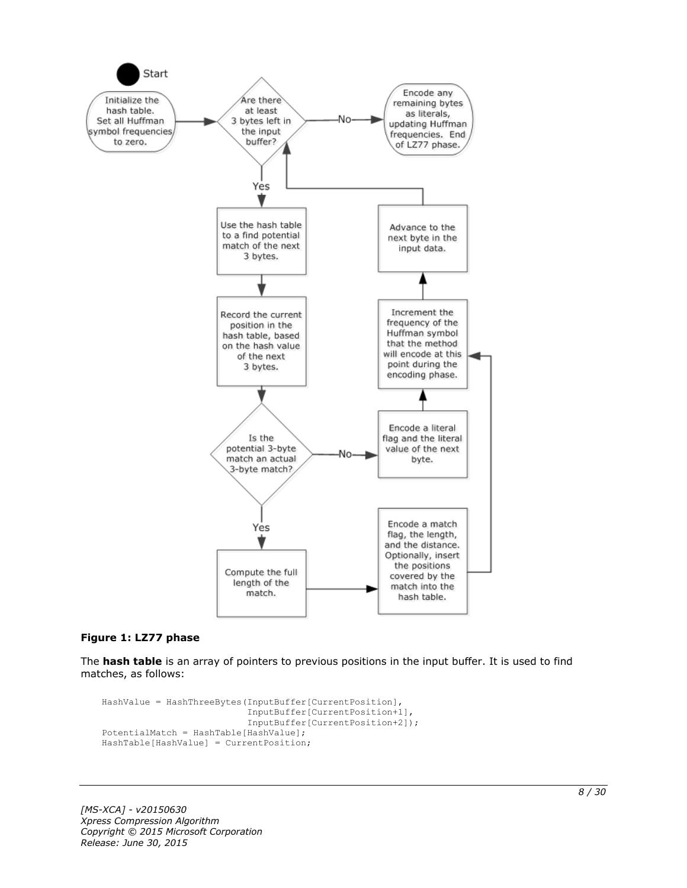

#### **Figure 1: LZ77 phase**

The **hash table** is an array of pointers to previous positions in the input buffer. It is used to find matches, as follows:

```
HashValue = HashThreeBytes(InputBuffer[CurrentPosition],
                            InputBuffer[CurrentPosition+1],
                            InputBuffer[CurrentPosition+2]);
PotentialMatch = HashTable[HashValue];
HashTable[HashValue] = CurrentPosition;
```
*[MS-XCA] - v20150630 Xpress Compression Algorithm Copyright © 2015 Microsoft Corporation Release: June 30, 2015*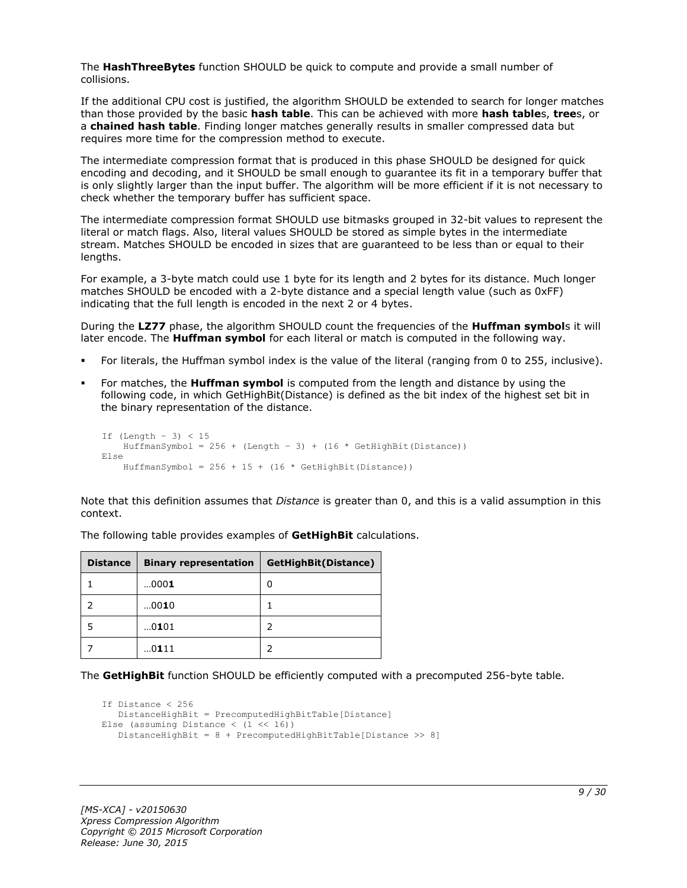The **HashThreeBytes** function SHOULD be quick to compute and provide a small number of collisions.

If the additional CPU cost is justified, the algorithm SHOULD be extended to search for longer matches than those provided by the basic **hash table**. This can be achieved with more **hash table**s, **tree**s, or a **chained hash table**. Finding longer matches generally results in smaller compressed data but requires more time for the compression method to execute.

The intermediate compression format that is produced in this phase SHOULD be designed for quick encoding and decoding, and it SHOULD be small enough to guarantee its fit in a temporary buffer that is only slightly larger than the input buffer. The algorithm will be more efficient if it is not necessary to check whether the temporary buffer has sufficient space.

The intermediate compression format SHOULD use bitmasks grouped in 32-bit values to represent the literal or match flags. Also, literal values SHOULD be stored as simple bytes in the intermediate stream. Matches SHOULD be encoded in sizes that are guaranteed to be less than or equal to their lengths.

For example, a 3-byte match could use 1 byte for its length and 2 bytes for its distance. Much longer matches SHOULD be encoded with a 2-byte distance and a special length value (such as 0xFF) indicating that the full length is encoded in the next 2 or 4 bytes.

During the **LZ77** phase, the algorithm SHOULD count the frequencies of the **Huffman symbol**s it will later encode. The **Huffman symbol** for each literal or match is computed in the following way.

- For literals, the Huffman symbol index is the value of the literal (ranging from 0 to 255, inclusive).
- For matches, the **Huffman symbol** is computed from the length and distance by using the following code, in which GetHighBit(Distance) is defined as the bit index of the highest set bit in the binary representation of the distance.

```
If (Lenqth - 3) < 15HuffmanSymbol = 256 + (Length - 3) + (16 * GetHighBit(Distance))Else
    HuffmanSymbol = 256 + 15 + (16 * \text{GetHighBit}(\text{Distance}))
```
Note that this definition assumes that *Distance* is greater than 0, and this is a valid assumption in this context.

| <b>Distance</b> | <b>Binary representation</b> | GetHighBit(Distance) |
|-----------------|------------------------------|----------------------|
|                 | 0001                         | 0                    |
|                 | 0010                         |                      |
|                 | 0101                         |                      |
|                 | 0111                         |                      |

The following table provides examples of **GetHighBit** calculations.

The **GetHighBit** function SHOULD be efficiently computed with a precomputed 256-byte table.

```
If Distance < 256
    DistanceHighBit = PrecomputedHighBitTable[Distance]
Else (assuming Distance \langle (1 \langle 16))
    DistanceHighBit = 8 + PrecomputedHighBitTable[Distance >> 8]
```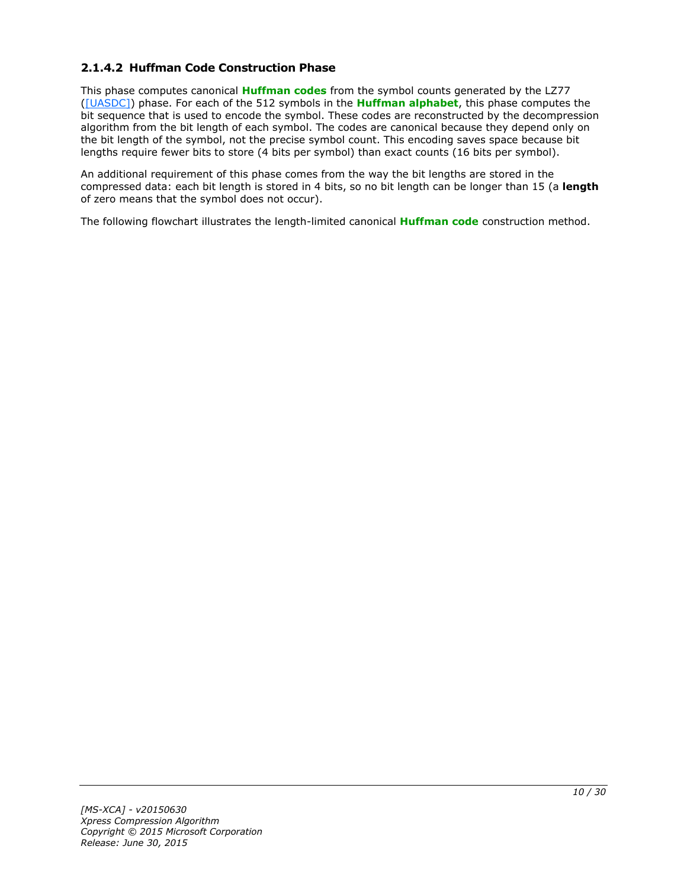## <span id="page-9-0"></span>**2.1.4.2 Huffman Code Construction Phase**

This phase computes canonical **[Huffman codes](#page-4-6)** from the symbol counts generated by the LZ77 [\(\[UASDC\]\)](http://go.microsoft.com/fwlink/?LinkId=90549) phase. For each of the 512 symbols in the **[Huffman alphabet](#page-4-7)**, this phase computes the bit sequence that is used to encode the symbol. These codes are reconstructed by the decompression algorithm from the bit length of each symbol. The codes are canonical because they depend only on the bit length of the symbol, not the precise symbol count. This encoding saves space because bit lengths require fewer bits to store (4 bits per symbol) than exact counts (16 bits per symbol).

An additional requirement of this phase comes from the way the bit lengths are stored in the compressed data: each bit length is stored in 4 bits, so no bit length can be longer than 15 (a **length** of zero means that the symbol does not occur).

The following flowchart illustrates the length-limited canonical **[Huffman code](#page-4-8)** construction method.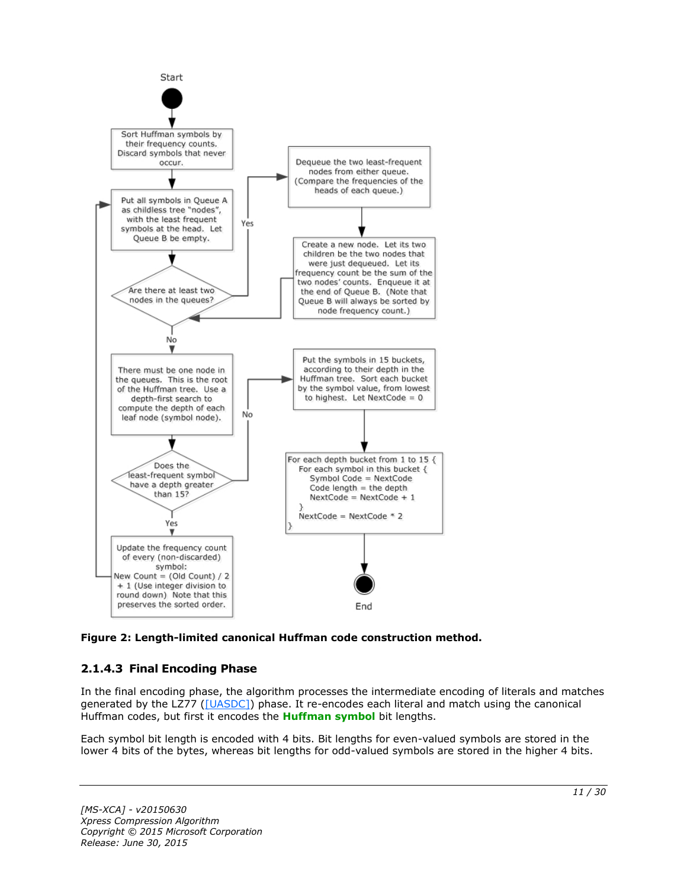

**Figure 2: Length-limited canonical Huffman code construction method.**

## <span id="page-10-0"></span>**2.1.4.3 Final Encoding Phase**

In the final encoding phase, the algorithm processes the intermediate encoding of literals and matches generated by the LZ77 [\(\[UASDC\]\)](http://go.microsoft.com/fwlink/?LinkId=90549) phase. It re-encodes each literal and match using the canonical Huffman codes, but first it encodes the **[Huffman symbol](#page-4-9)** bit lengths.

Each symbol bit length is encoded with 4 bits. Bit lengths for even-valued symbols are stored in the lower 4 bits of the bytes, whereas bit lengths for odd-valued symbols are stored in the higher 4 bits.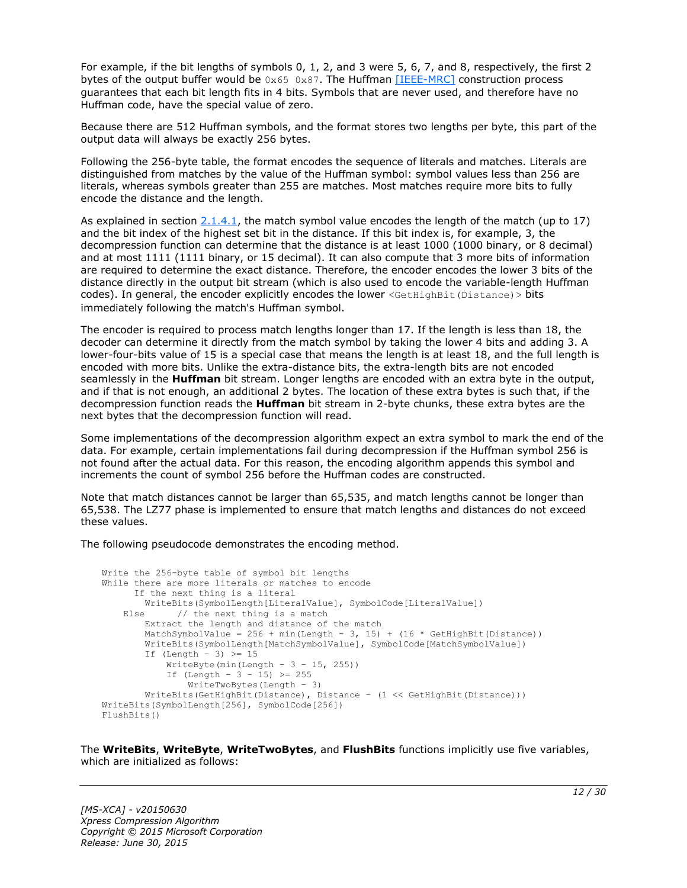For example, if the bit lengths of symbols 0, 1, 2, and 3 were 5, 6, 7, and 8, respectively, the first 2 bytes of the output buffer would be  $0 \times 65$  0x87. The Huffman [\[IEEE-MRC\]](http://go.microsoft.com/fwlink/?LinkId=227659) construction process guarantees that each bit length fits in 4 bits. Symbols that are never used, and therefore have no Huffman code, have the special value of zero.

Because there are 512 Huffman symbols, and the format stores two lengths per byte, this part of the output data will always be exactly 256 bytes.

Following the 256-byte table, the format encodes the sequence of literals and matches. Literals are distinguished from matches by the value of the Huffman symbol: symbol values less than 256 are literals, whereas symbols greater than 255 are matches. Most matches require more bits to fully encode the distance and the length.

As explained in section  $2.1.4.1$ , the match symbol value encodes the length of the match (up to 17) and the bit index of the highest set bit in the distance. If this bit index is, for example, 3, the decompression function can determine that the distance is at least 1000 (1000 binary, or 8 decimal) and at most 1111 (1111 binary, or 15 decimal). It can also compute that 3 more bits of information are required to determine the exact distance. Therefore, the encoder encodes the lower 3 bits of the distance directly in the output bit stream (which is also used to encode the variable-length Huffman codes). In general, the encoder explicitly encodes the lower <GetHighBit(Distance) > bits immediately following the match's Huffman symbol.

The encoder is required to process match lengths longer than 17. If the length is less than 18, the decoder can determine it directly from the match symbol by taking the lower 4 bits and adding 3. A lower-four-bits value of 15 is a special case that means the length is at least 18, and the full length is encoded with more bits. Unlike the extra-distance bits, the extra-length bits are not encoded seamlessly in the **Huffman** bit stream. Longer lengths are encoded with an extra byte in the output, and if that is not enough, an additional 2 bytes. The location of these extra bytes is such that, if the decompression function reads the **Huffman** bit stream in 2-byte chunks, these extra bytes are the next bytes that the decompression function will read.

Some implementations of the decompression algorithm expect an extra symbol to mark the end of the data. For example, certain implementations fail during decompression if the Huffman symbol 256 is not found after the actual data. For this reason, the encoding algorithm appends this symbol and increments the count of symbol 256 before the Huffman codes are constructed.

Note that match distances cannot be larger than 65,535, and match lengths cannot be longer than 65,538. The LZ77 phase is implemented to ensure that match lengths and distances do not exceed these values.

The following pseudocode demonstrates the encoding method.

```
Write the 256-byte table of symbol bit lengths
While there are more literals or matches to encode
       If the next thing is a literal
         WriteBits(SymbolLength[LiteralValue], SymbolCode[LiteralValue])
   Else // the next thing is a match
         Extract the length and distance of the match
        MatchSymbolValue = 256 + min(Length - 3, 15) + (16 * GetHighBit(Distance))
         WriteBits(SymbolLength[MatchSymbolValue], SymbolCode[MatchSymbolValue])
        If (Length - 3) \geq 15
            WriteByte(min(Length - 3 - 15, 255))
           If (Length - 3 - 15) >= 255
                WriteTwoBytes(Length – 3)
         WriteBits(GetHighBit(Distance), Distance – (1 << GetHighBit(Distance)))
WriteBits(SymbolLength[256], SymbolCode[256])
FlushBits()
```
The **WriteBits**, **WriteByte**, **WriteTwoBytes**, and **FlushBits** functions implicitly use five variables, which are initialized as follows: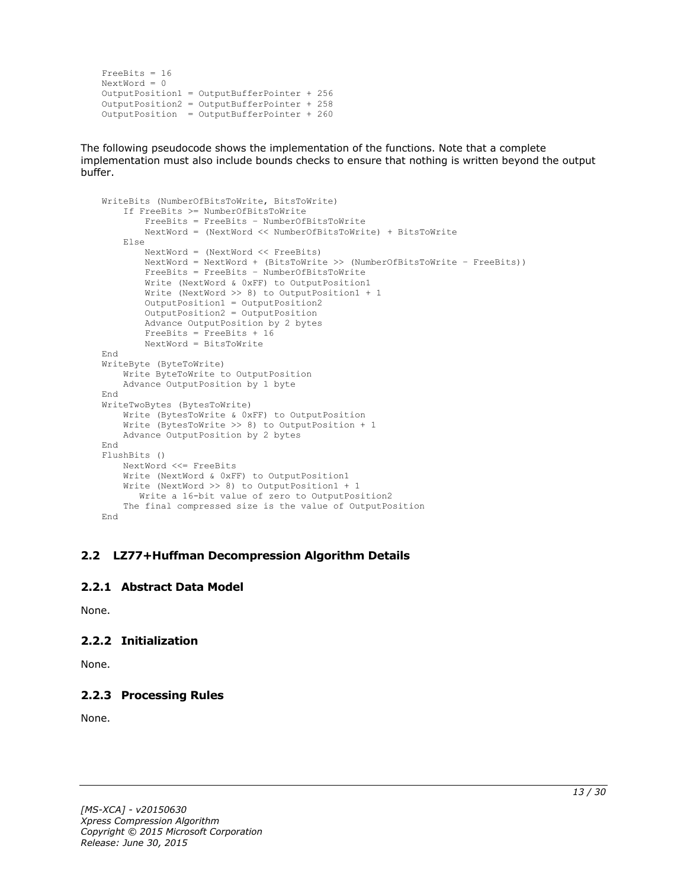```
FreeBits = 16
NextWord = 0OutputPosition1 = OutputBufferPointer + 256
OutputPosition2 = OutputBufferPointer + 258 
OutputPosition = OutputBufferPointer + 260
```
The following pseudocode shows the implementation of the functions. Note that a complete implementation must also include bounds checks to ensure that nothing is written beyond the output buffer.

```
WriteBits (NumberOfBitsToWrite, BitsToWrite)
     If FreeBits >= NumberOfBitsToWrite
         FreeBits = FreeBits – NumberOfBitsToWrite
         NextWord = (NextWord << NumberOfBitsToWrite) + BitsToWrite
     Else
         NextWord = (NextWord << FreeBits)
         NextWord = NextWord + (BitsToWrite >> (NumberOfBitsToWrite – FreeBits))
         FreeBits = FreeBits – NumberOfBitsToWrite
         Write (NextWord & 0xFF) to OutputPosition1
         Write (NextWord >> 8) to OutputPosition1 + 1
         OutputPosition1 = OutputPosition2
         OutputPosition2 = OutputPosition
         Advance OutputPosition by 2 bytes
         FreeBits = FreeBits + 16
         NextWord = BitsToWrite
End
WriteByte (ByteToWrite)
    Write ByteToWrite to OutputPosition
     Advance OutputPosition by 1 byte
End
WriteTwoBytes (BytesToWrite)
     Write (BytesToWrite & 0xFF) to OutputPosition
     Write (BytesToWrite >> 8) to OutputPosition + 1
    Advance OutputPosition by 2 bytes
End
FlushBits ()
     NextWord <<= FreeBits
     Write (NextWord & 0xFF) to OutputPosition1
     Write (NextWord >> 8) to OutputPosition1 + 1
       Write a 16-bit value of zero to OutputPosition2
     The final compressed size is the value of OutputPosition
End
```
#### <span id="page-12-0"></span>**2.2 LZ77+Huffman Decompression Algorithm Details**

#### <span id="page-12-1"></span>**2.2.1 Abstract Data Model**

None.

## <span id="page-12-2"></span>**2.2.2 Initialization**

None.

## <span id="page-12-3"></span>**2.2.3 Processing Rules**

None.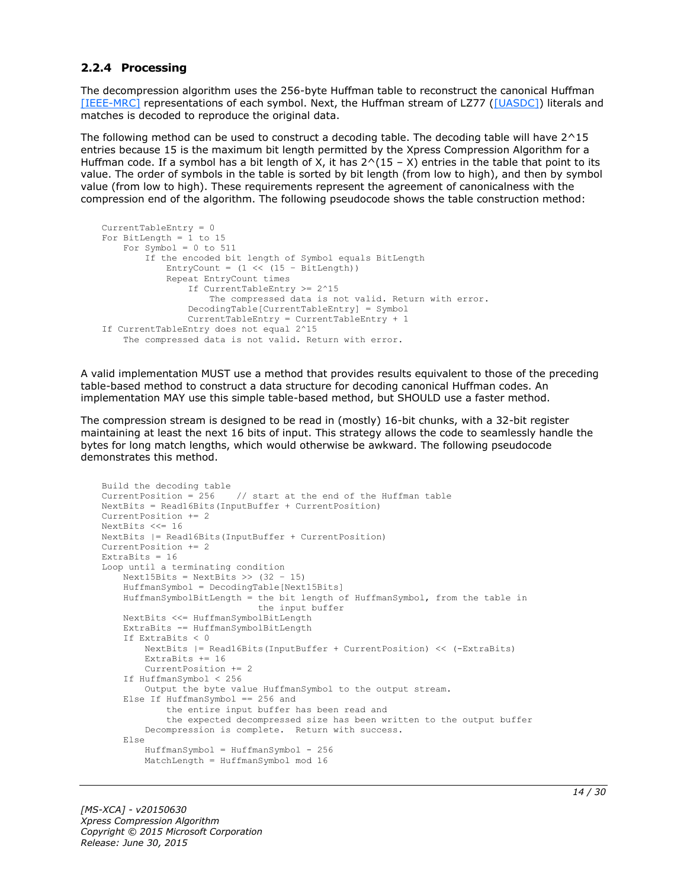#### <span id="page-13-0"></span>**2.2.4 Processing**

The decompression algorithm uses the 256-byte Huffman table to reconstruct the canonical Huffman [\[IEEE-MRC\]](http://go.microsoft.com/fwlink/?LinkId=227659) representations of each symbol. Next, the Huffman stream of LZ77 [\(\[UASDC\]\)](http://go.microsoft.com/fwlink/?LinkId=90549) literals and matches is decoded to reproduce the original data.

The following method can be used to construct a decoding table. The decoding table will have 2^15 entries because 15 is the maximum bit length permitted by the Xpress Compression Algorithm for a Huffman code. If a symbol has a bit length of X, it has  $2^(15 - X)$  entries in the table that point to its value. The order of symbols in the table is sorted by bit length (from low to high), and then by symbol value (from low to high). These requirements represent the agreement of canonicalness with the compression end of the algorithm. The following pseudocode shows the table construction method:

```
CurrentTableEntry = 0
For BitLength = 1 to 15
   For Symbol = 0 to 511
         If the encoded bit length of Symbol equals BitLength
            EntryCount = (1 \leq \leq 15 - \text{BitLength}) Repeat EntryCount times
                 If CurrentTableEntry >= 2^15
                     The compressed data is not valid. Return with error.
                 DecodingTable[CurrentTableEntry] = Symbol
                 CurrentTableEntry = CurrentTableEntry + 1
If CurrentTableEntry does not equal 2^15
     The compressed data is not valid. Return with error.
```
A valid implementation MUST use a method that provides results equivalent to those of the preceding table-based method to construct a data structure for decoding canonical Huffman codes. An implementation MAY use this simple table-based method, but SHOULD use a faster method.

The compression stream is designed to be read in (mostly) 16-bit chunks, with a 32-bit register maintaining at least the next 16 bits of input. This strategy allows the code to seamlessly handle the bytes for long match lengths, which would otherwise be awkward. The following pseudocode demonstrates this method.

```
Build the decoding table
CurrentPosition = 256 // start at the end of the Huffman table
NextBits = Read16Bits(InputBuffer + CurrentPosition)
CurrentPosition += 2
NextBits <<= 16
NextBits |= Read16Bits(InputBuffer + CurrentPosition)
CurrentPosition += 2
ExtraBits = 16
Loop until a terminating condition
    Next15Bits = NextBits \gg (32 - 15)
     HuffmanSymbol = DecodingTable[Next15Bits]
     HuffmanSymbolBitLength = the bit length of HuffmanSymbol, from the table in
                              the input buffer
     NextBits <<= HuffmanSymbolBitLength
     ExtraBits -= HuffmanSymbolBitLength
     If ExtraBits < 0
        NextBits |= Read16Bits(InputBuffer + CurrentPosition) << (-ExtraBits)
         ExtraBits += 16
         CurrentPosition += 2
     If HuffmanSymbol < 256
        Output the byte value HuffmanSymbol to the output stream.
     Else If HuffmanSymbol == 256 and
             the entire input buffer has been read and
             the expected decompressed size has been written to the output buffer
         Decompression is complete. Return with success.
     Else
        HuffmanSumbol = HuffmanSumbol - 256 MatchLength = HuffmanSymbol mod 16
```
*[MS-XCA] - v20150630 Xpress Compression Algorithm Copyright © 2015 Microsoft Corporation Release: June 30, 2015*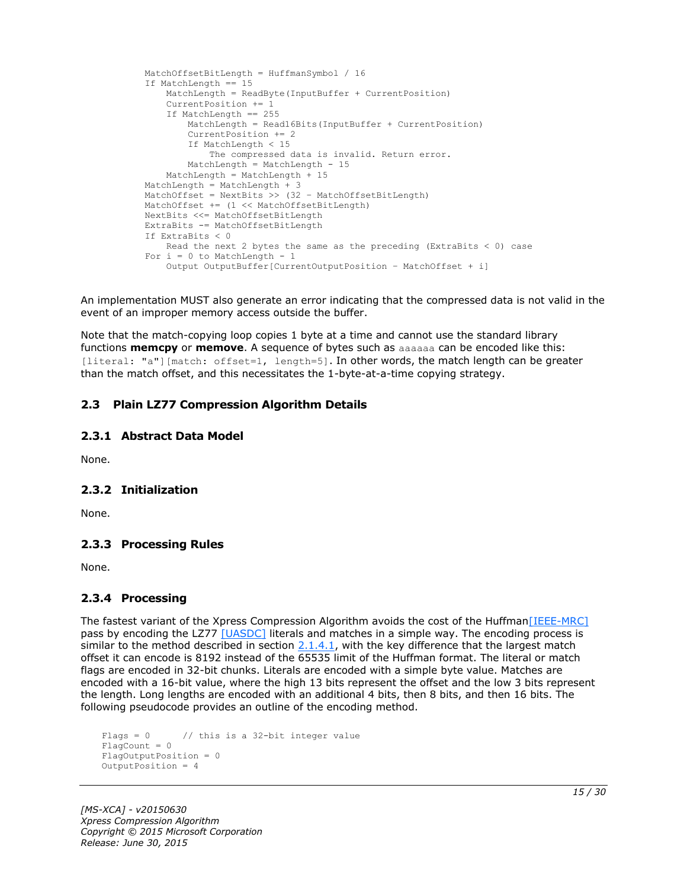```
 MatchOffsetBitLength = HuffmanSymbol / 16
 If MatchLength == 15
    MatchLength = ReadByte(InputBuffer + CurrentPosition)
     CurrentPosition += 1
     If MatchLength == 255
         MatchLength = Read16Bits(InputBuffer + CurrentPosition)
       CurrentPosition += 2
        If MatchLength < 15
            The compressed data is invalid. Return error.
       MatchLength = MatchLength - 15
     MatchLength = MatchLength + 15
MatchLength = MatchLength + 3 MatchOffset = NextBits >> (32 – MatchOffsetBitLength)
 MatchOffset += (1 << MatchOffsetBitLength)
 NextBits <<= MatchOffsetBitLength
 ExtraBits -= MatchOffsetBitLength
 If ExtraBits < 0
   Read the next 2 bytes the same as the preceding (ExtraBits < 0) case
For i = 0 to MatchLength - 1
     Output OutputBuffer[CurrentOutputPosition – MatchOffset + i]
```
An implementation MUST also generate an error indicating that the compressed data is not valid in the event of an improper memory access outside the buffer.

Note that the match-copying loop copies 1 byte at a time and cannot use the standard library functions **memcpy** or **memove**. A sequence of bytes such as aaaaaa can be encoded like this: [literal: "a"][match: offset=1, length=5]. In other words, the match length can be greater than the match offset, and this necessitates the 1-byte-at-a-time copying strategy.

#### <span id="page-14-0"></span>**2.3 Plain LZ77 Compression Algorithm Details**

#### <span id="page-14-1"></span>**2.3.1 Abstract Data Model**

None.

#### <span id="page-14-2"></span>**2.3.2 Initialization**

None.

#### <span id="page-14-3"></span>**2.3.3 Processing Rules**

None.

## <span id="page-14-4"></span>**2.3.4 Processing**

The fastest variant of the Xpress Compression Algorithm avoids the cost of the Huffman [IEEE-MRC] pass by encoding the LZ77 [\[UASDC\]](http://go.microsoft.com/fwlink/?LinkId=90549) literals and matches in a simple way. The encoding process is similar to the method described in section  $2.1.4.1$ , with the key difference that the largest match offset it can encode is 8192 instead of the 65535 limit of the Huffman format. The literal or match flags are encoded in 32-bit chunks. Literals are encoded with a simple byte value. Matches are encoded with a 16-bit value, where the high 13 bits represent the offset and the low 3 bits represent the length. Long lengths are encoded with an additional 4 bits, then 8 bits, and then 16 bits. The following pseudocode provides an outline of the encoding method.

```
Flags = 0 // this is a 32-bit integer value
FlagCount = 0FlagOutputPosition = 0
OutputPosition = 4
```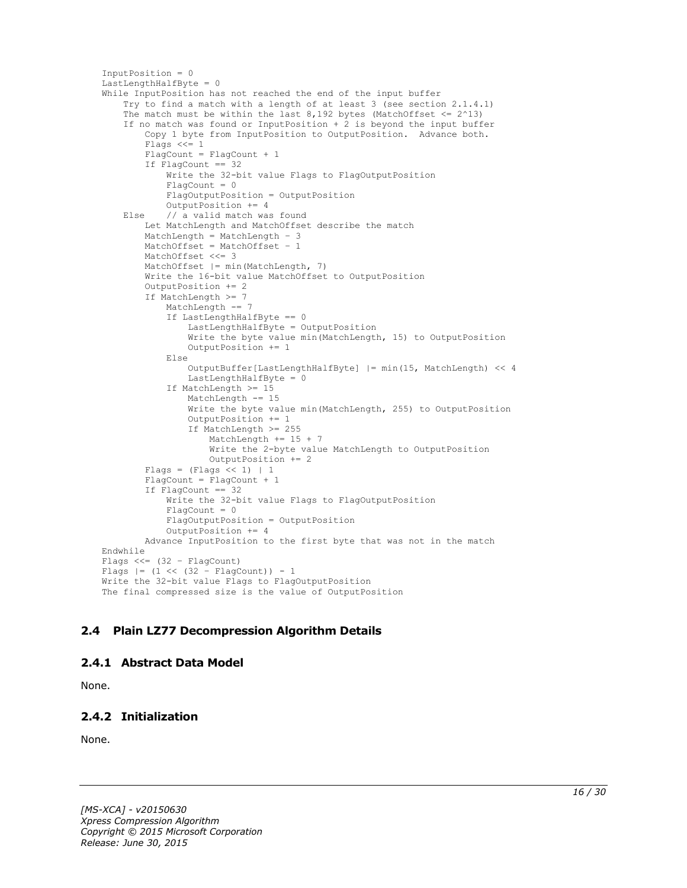```
InputPosition = 0
LastLengthHalfByte = 0
While InputPosition has not reached the end of the input buffer
     Try to find a match with a length of at least 3 (see section 2.1.4.1)
    The match must be within the last 8,192 bytes (MatchOffset \leq 2^13)
     If no match was found or InputPosition + 2 is beyond the input buffer
         Copy 1 byte from InputPosition to OutputPosition. Advance both.
         Flags <<= 1
         FlagCount = FlagCount + 1
         If FlagCount == 32
             Write the 32-bit value Flags to FlagOutputPosition
             FlagCount = 0
             FlagOutputPosition = OutputPosition
             OutputPosition += 4
     Else // a valid match was found
         Let MatchLength and MatchOffset describe the match
         MatchLength = MatchLength – 3
        MatchOffset = MatchOffset - 1 MatchOffset <<= 3
         MatchOffset |= min(MatchLength, 7)
         Write the 16-bit value MatchOffset to OutputPosition
         OutputPosition += 2
         If MatchLength >= 7
            MatchLength -= 7
             If LastLengthHalfByte == 0
                 LastLengthHalfByte = OutputPosition
                 Write the byte value min(MatchLength, 15) to OutputPosition
                OutputPosition += 1
             Else
                 OutputBuffer[LastLengthHalfByte] |= min(15, MatchLength) << 4
                 LastLengthHalfByte = 0
             If MatchLength >= 15
                 MatchLength -= 15
                 Write the byte value min(MatchLength, 255) to OutputPosition
                OutputPosition += 1
                 If MatchLength >= 255
                     MatchLength += 15 + 7
                    Write the 2-byte value MatchLength to OutputPosition
                     OutputPosition += 2
        Flags = (Flags << 1) | 1
         FlagCount = FlagCount + 1
         If FlagCount == 32
             Write the 32-bit value Flags to FlagOutputPosition
            FlacCount = 0 FlagOutputPosition = OutputPosition
             OutputPosition += 4
         Advance InputPosition to the first byte that was not in the match
Endwhile
Flags <<=(32 - \text{FlagCount})Flags = (1 \leq \leq (32 - \text{FlagCount})) - 1Write the 32-bit value Flags to FlagOutputPosition
The final compressed size is the value of OutputPosition
```
## <span id="page-15-0"></span>**2.4 Plain LZ77 Decompression Algorithm Details**

#### <span id="page-15-1"></span>**2.4.1 Abstract Data Model**

None.

## <span id="page-15-2"></span>**2.4.2 Initialization**

None.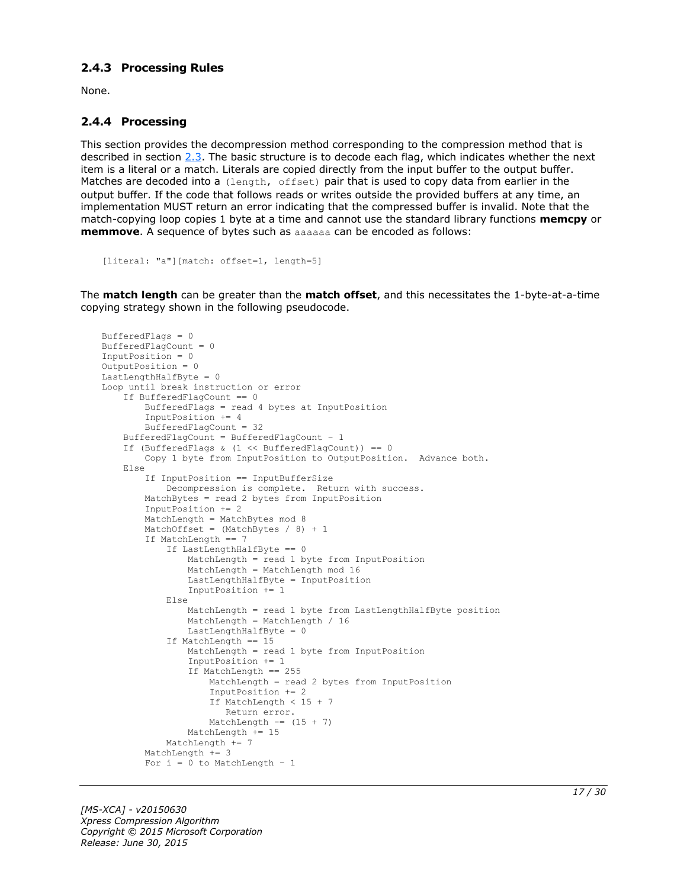#### <span id="page-16-0"></span>**2.4.3 Processing Rules**

None.

#### <span id="page-16-1"></span>**2.4.4 Processing**

This section provides the decompression method corresponding to the compression method that is described in section [2.3.](#page-14-0) The basic structure is to decode each flag, which indicates whether the next item is a literal or a match. Literals are copied directly from the input buffer to the output buffer. Matches are decoded into a (length, offset) pair that is used to copy data from earlier in the output buffer. If the code that follows reads or writes outside the provided buffers at any time, an implementation MUST return an error indicating that the compressed buffer is invalid. Note that the match-copying loop copies 1 byte at a time and cannot use the standard library functions **memcpy** or **memmove**. A sequence of bytes such as aaaaaa can be encoded as follows:

```
[literal: "a"][match: offset=1, length=5]
```
The **match length** can be greater than the **match offset**, and this necessitates the 1-byte-at-a-time copying strategy shown in the following pseudocode.

```
BufferedFlags = 0
BufferedFlagCount = 0
InputPosition = 0
OutputPosition = 0
LastLengthHalfByte = 0Loop until break instruction or error
     If BufferedFlagCount == 0
         BufferedFlags = read 4 bytes at InputPosition
         InputPosition += 4
         BufferedFlagCount = 32
     BufferedFlagCount = BufferedFlagCount – 1
    If (BufferedFlags & (1 \leq \text{BufferedFlagCount})) == 0
         Copy 1 byte from InputPosition to OutputPosition. Advance both.
     Else
         If InputPosition == InputBufferSize
             Decompression is complete. Return with success.
         MatchBytes = read 2 bytes from InputPosition
         InputPosition += 2
        MatchLength = MatchBytes mod 8
        MatchOffset = (MatchBytes / 8) + 1 If MatchLength == 7
             If LastLengthHalfByte == 0
                 MatchLength = read 1 byte from InputPosition
                 MatchLength = MatchLength mod 16
                LastLengthHalfByte = InputPosition
                 InputPosition += 1
             Else
                 MatchLength = read 1 byte from LastLengthHalfByte position
                 MatchLength = MatchLength / 16
                LastLengthHalfByte = 0
             If MatchLength == 15
                 MatchLength = read 1 byte from InputPosition
                 InputPosition += 1
                 If MatchLength == 255
                     MatchLength = read 2 bytes from InputPosition
                    InputPosition += 2
                    If MatchLength < 15 + 7
                       Return error.
                    MatchLength == (15 + 7)
                MathLength += 15 MatchLength += 7
        MatchLength += 3
        For i = 0 to MatchLength - 1
```
*[MS-XCA] - v20150630 Xpress Compression Algorithm Copyright © 2015 Microsoft Corporation Release: June 30, 2015*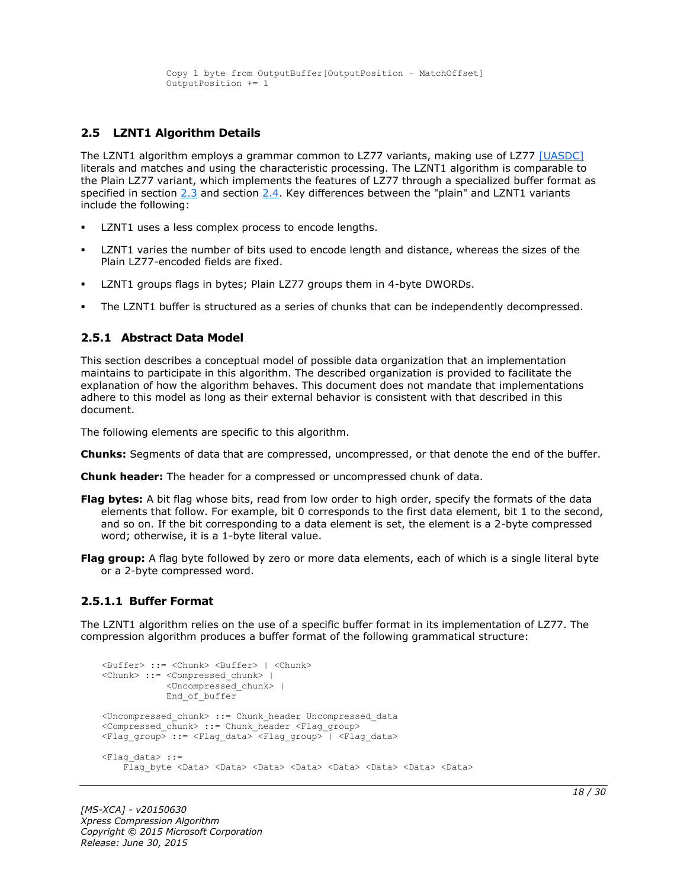```
 Copy 1 byte from OutputBuffer[OutputPosition – MatchOffset]
 OutputPosition += 1
```
### <span id="page-17-0"></span>**2.5 LZNT1 Algorithm Details**

The LZNT1 algorithm employs a grammar common to LZ77 variants, making use of LZ77 [\[UASDC\]](http://go.microsoft.com/fwlink/?LinkId=90549) literals and matches and using the characteristic processing. The LZNT1 algorithm is comparable to the Plain LZ77 variant, which implements the features of LZ77 through a specialized buffer format as specified in section [2.3](#page-14-0) and section [2.4.](#page-15-0) Key differences between the "plain" and LZNT1 variants include the following:

- LZNT1 uses a less complex process to encode lengths.
- LZNT1 varies the number of bits used to encode length and distance, whereas the sizes of the Plain LZ77-encoded fields are fixed.
- LZNT1 groups flags in bytes; Plain LZ77 groups them in 4-byte DWORDs.
- The LZNT1 buffer is structured as a series of chunks that can be independently decompressed.

#### <span id="page-17-1"></span>**2.5.1 Abstract Data Model**

This section describes a conceptual model of possible data organization that an implementation maintains to participate in this algorithm. The described organization is provided to facilitate the explanation of how the algorithm behaves. This document does not mandate that implementations adhere to this model as long as their external behavior is consistent with that described in this document.

The following elements are specific to this algorithm.

- **Chunks:** Segments of data that are compressed, uncompressed, or that denote the end of the buffer.
- **Chunk header:** The header for a compressed or uncompressed chunk of data.
- **Flag bytes:** A bit flag whose bits, read from low order to high order, specify the formats of the data elements that follow. For example, bit 0 corresponds to the first data element, bit 1 to the second, and so on. If the bit corresponding to a data element is set, the element is a 2-byte compressed word; otherwise, it is a 1-byte literal value.
- **Flag group:** A flag byte followed by zero or more data elements, each of which is a single literal byte or a 2-byte compressed word.

#### <span id="page-17-2"></span>**2.5.1.1 Buffer Format**

The LZNT1 algorithm relies on the use of a specific buffer format in its implementation of LZ77. The compression algorithm produces a buffer format of the following grammatical structure:

```
<Buffer> ::= <Chunk> <Buffer> | <Chunk>
<Chunk> ::= <Compressed_chunk> | 
             <Uncompressed_chunk> |
             End_of_buffer
<Uncompressed_chunk> ::= Chunk_header Uncompressed_data
<Compressed chunk> ::= Chunk header <Flag_group>
<Flag_group> ::= <Flag_data> <Flag_group> | <Flag_data>
<Flag_data> ::=
    Flag byte <Data> <Data> <Data> <Data> <Data> <Data> <Data> <Data> <Data> <Data>
```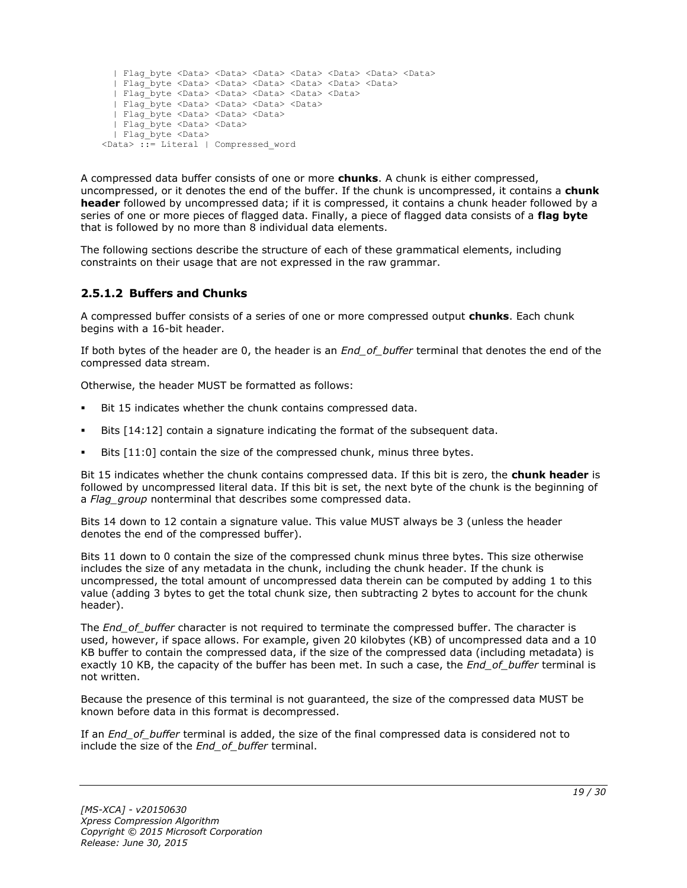```
 | Flag_byte <Data> <Data> <Data> <Data> <Data> <Data> <Data>
   | Flag_byte <Data> <Data> <Data> <Data> <Data> <Data>
   | Flag_byte <Data> <Data> <Data> <Data> <Data>
   | Flag_byte <Data> <Data> <Data> <Data>
   | Flag_byte <Data> <Data> <Data> 
   | Flag_byte <Data> <Data>
   | Flag_byte <Data> 
<Data> ::= Literal | Compressed_word
```
A compressed data buffer consists of one or more **chunks**. A chunk is either compressed, uncompressed, or it denotes the end of the buffer. If the chunk is uncompressed, it contains a **chunk header** followed by uncompressed data; if it is compressed, it contains a chunk header followed by a series of one or more pieces of flagged data. Finally, a piece of flagged data consists of a **flag byte** that is followed by no more than 8 individual data elements.

The following sections describe the structure of each of these grammatical elements, including constraints on their usage that are not expressed in the raw grammar.

## <span id="page-18-0"></span>**2.5.1.2 Buffers and Chunks**

A compressed buffer consists of a series of one or more compressed output **chunks**. Each chunk begins with a 16-bit header.

If both bytes of the header are 0, the header is an *End\_of\_buffer* terminal that denotes the end of the compressed data stream.

Otherwise, the header MUST be formatted as follows:

- Bit 15 indicates whether the chunk contains compressed data.
- Bits [14:12] contain a signature indicating the format of the subsequent data.
- Bits [11:0] contain the size of the compressed chunk, minus three bytes.

Bit 15 indicates whether the chunk contains compressed data. If this bit is zero, the **chunk header** is followed by uncompressed literal data. If this bit is set, the next byte of the chunk is the beginning of a *Flag\_group* nonterminal that describes some compressed data.

Bits 14 down to 12 contain a signature value. This value MUST always be 3 (unless the header denotes the end of the compressed buffer).

Bits 11 down to 0 contain the size of the compressed chunk minus three bytes. This size otherwise includes the size of any metadata in the chunk, including the chunk header. If the chunk is uncompressed, the total amount of uncompressed data therein can be computed by adding 1 to this value (adding 3 bytes to get the total chunk size, then subtracting 2 bytes to account for the chunk header).

The *End\_of\_buffer* character is not required to terminate the compressed buffer. The character is used, however, if space allows. For example, given 20 kilobytes (KB) of uncompressed data and a 10 KB buffer to contain the compressed data, if the size of the compressed data (including metadata) is exactly 10 KB, the capacity of the buffer has been met. In such a case, the *End\_of\_buffer* terminal is not written.

Because the presence of this terminal is not guaranteed, the size of the compressed data MUST be known before data in this format is decompressed.

If an *End\_of\_buffer* terminal is added, the size of the final compressed data is considered not to include the size of the *End\_of\_buffer* terminal.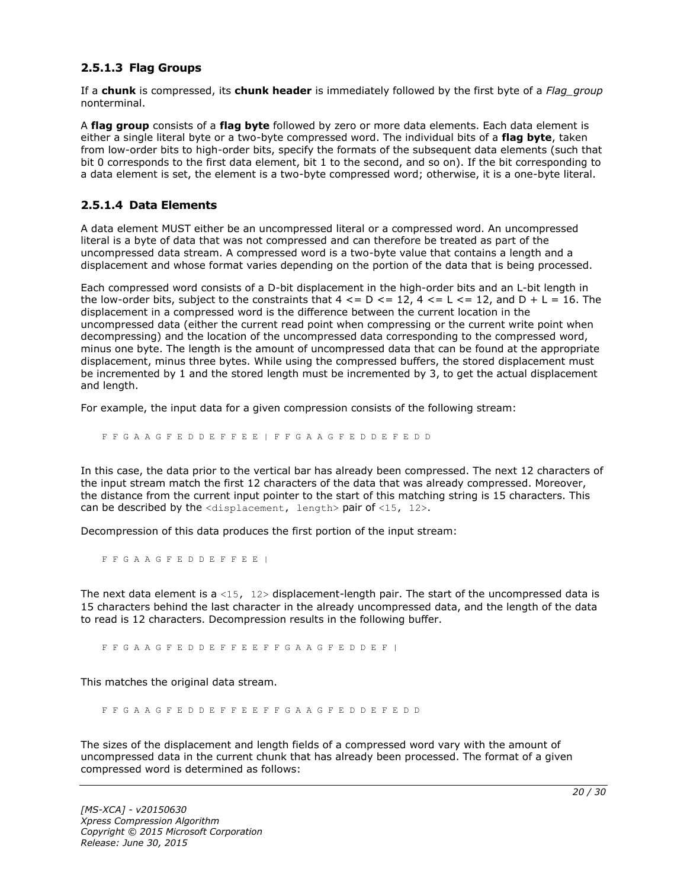#### <span id="page-19-0"></span>**2.5.1.3 Flag Groups**

If a **chunk** is compressed, its **chunk header** is immediately followed by the first byte of a *Flag\_group* nonterminal.

A **flag group** consists of a **flag byte** followed by zero or more data elements. Each data element is either a single literal byte or a two-byte compressed word. The individual bits of a **flag byte**, taken from low-order bits to high-order bits, specify the formats of the subsequent data elements (such that bit 0 corresponds to the first data element, bit 1 to the second, and so on). If the bit corresponding to a data element is set, the element is a two-byte compressed word; otherwise, it is a one-byte literal.

#### <span id="page-19-1"></span>**2.5.1.4 Data Elements**

A data element MUST either be an uncompressed literal or a compressed word. An uncompressed literal is a byte of data that was not compressed and can therefore be treated as part of the uncompressed data stream. A compressed word is a two-byte value that contains a length and a displacement and whose format varies depending on the portion of the data that is being processed.

Each compressed word consists of a D-bit displacement in the high-order bits and an L-bit length in the low-order bits, subject to the constraints that  $4 \leq D \leq 12$ ,  $4 \leq L \leq 12$ , and  $D + L = 16$ . The displacement in a compressed word is the difference between the current location in the uncompressed data (either the current read point when compressing or the current write point when decompressing) and the location of the uncompressed data corresponding to the compressed word, minus one byte. The length is the amount of uncompressed data that can be found at the appropriate displacement, minus three bytes. While using the compressed buffers, the stored displacement must be incremented by 1 and the stored length must be incremented by 3, to get the actual displacement and length.

For example, the input data for a given compression consists of the following stream:

F F G A A G F E D D E F F E E | F F G A A G F E D D E F E D D

In this case, the data prior to the vertical bar has already been compressed. The next 12 characters of the input stream match the first 12 characters of the data that was already compressed. Moreover, the distance from the current input pointer to the start of this matching string is 15 characters. This can be described by the  $\langle$ displacement, length> pair of  $\langle$ 15, 12>.

Decompression of this data produces the first portion of the input stream:

F F G A A G F E D D E F F E E |

The next data element is a <15,  $12$  bisplacement-length pair. The start of the uncompressed data is 15 characters behind the last character in the already uncompressed data, and the length of the data to read is 12 characters. Decompression results in the following buffer.

F F G A A G F E D D E F F E E F F G A A G F E D D E F |

This matches the original data stream.

F F G A A G F E D D E F F E E F F G A A G F E D D E F E D D

The sizes of the displacement and length fields of a compressed word vary with the amount of uncompressed data in the current chunk that has already been processed. The format of a given compressed word is determined as follows: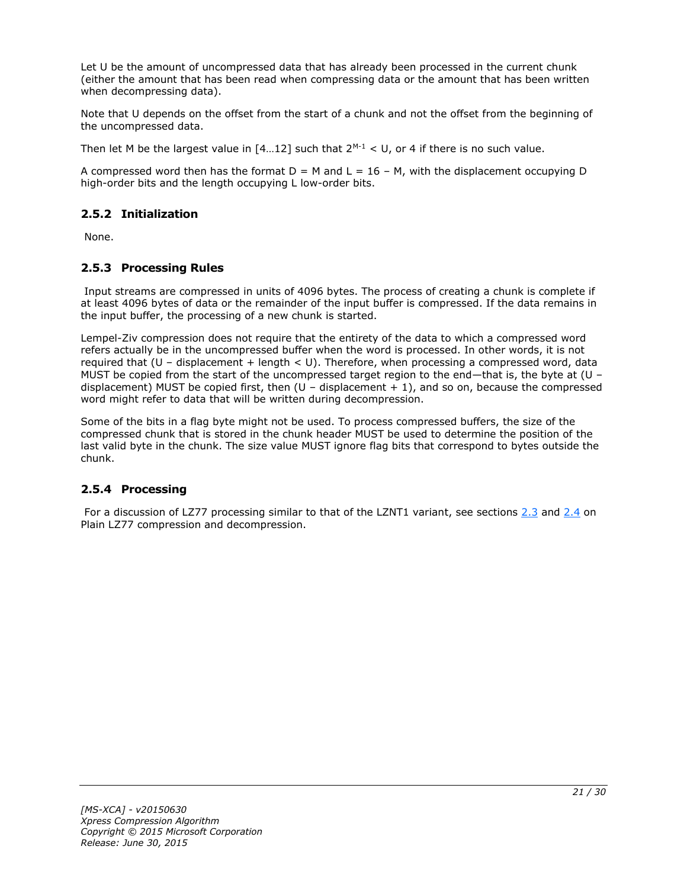Let U be the amount of uncompressed data that has already been processed in the current chunk (either the amount that has been read when compressing data or the amount that has been written when decompressing data).

Note that U depends on the offset from the start of a chunk and not the offset from the beginning of the uncompressed data.

Then let M be the largest value in  $[4...12]$  such that  $2^{M-1} < U$ , or 4 if there is no such value.

A compressed word then has the format  $D = M$  and  $L = 16 - M$ , with the displacement occupying D high-order bits and the length occupying L low-order bits.

## <span id="page-20-0"></span>**2.5.2 Initialization**

None.

## <span id="page-20-1"></span>**2.5.3 Processing Rules**

Input streams are compressed in units of 4096 bytes. The process of creating a chunk is complete if at least 4096 bytes of data or the remainder of the input buffer is compressed. If the data remains in the input buffer, the processing of a new chunk is started.

Lempel-Ziv compression does not require that the entirety of the data to which a compressed word refers actually be in the uncompressed buffer when the word is processed. In other words, it is not required that  $(U -$  displacement + length  $U$ . Therefore, when processing a compressed word, data MUST be copied from the start of the uncompressed target region to the end—that is, the byte at (U – displacement) MUST be copied first, then  $(U -$  displacement  $+ 1)$ , and so on, because the compressed word might refer to data that will be written during decompression.

Some of the bits in a flag byte might not be used. To process compressed buffers, the size of the compressed chunk that is stored in the chunk header MUST be used to determine the position of the last valid byte in the chunk. The size value MUST ignore flag bits that correspond to bytes outside the chunk.

## <span id="page-20-2"></span>**2.5.4 Processing**

For a discussion of LZ77 processing similar to that of the LZNT1 variant, see sections [2.3](#page-14-0) and [2.4](#page-15-0) on Plain LZ77 compression and decompression.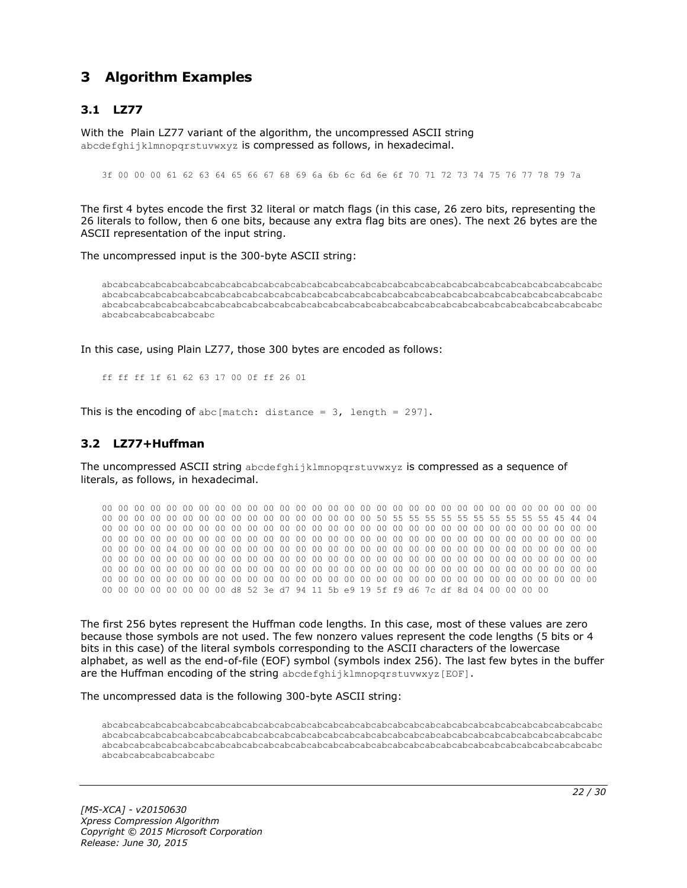## <span id="page-21-0"></span>**3 Algorithm Examples**

## <span id="page-21-1"></span>**3.1 LZ77**

With the Plain LZ77 variant of the algorithm, the uncompressed ASCII string abcdefghijklmnopgrstuvwxyz is compressed as follows, in hexadecimal.

3f 00 00 00 61 62 63 64 65 66 67 68 69 6a 6b 6c 6d 6e 6f 70 71 72 73 74 75 76 77 78 79 7a

The first 4 bytes encode the first 32 literal or match flags (in this case, 26 zero bits, representing the 26 literals to follow, then 6 one bits, because any extra flag bits are ones). The next 26 bytes are the ASCII representation of the input string.

The uncompressed input is the 300-byte ASCII string:

abcabcabcabcabcabcabcabcabcabcabcabcabcabcabcabcabcabcabcabcabcabcabcabcabcabcabcabcabcabcabc abcabcabcabcabcabcabcabcabcabcabcabcabcabcabcabcabcabcabcabcabcabcabcabcabcabcabcabcabcabcabc abcabcabcabcabcabcabcabcabcabcabcabcabcabcabcabcabcabcabcabcabcabcabcabcabcabcabcabcabcabcabc abcabcabcabcabcabcabc

In this case, using Plain LZ77, those 300 bytes are encoded as follows:

ff ff ff 1f 61 62 63 17 00 0f ff 26 01

This is the encoding of abc [match: distance =  $3$ , length = 297].

#### <span id="page-21-2"></span>**3.2 LZ77+Huffman**

The uncompressed ASCII string abcdefghijklmnopqrstuvwxyz is compressed as a sequence of literals, as follows, in hexadecimal.

00 00 00 00 00 00 00 00 00 00 00 00 00 00 00 00 00 00 00 00 00 00 00 00 00 00 00 00 00 00 00 00 00 00 00 00 00 00 00 00 00 00 00 00 00 00 00 00 50 55 55 55 55 55 55 55 55 55 55 45 44 04 00 00 00 00 00 00 00 00 00 00 00 00 00 00 00 00 00 00 00 00 00 00 00 00 00 00 00 00 00 00 00 00 00 00 00 00 00 00 00 00 00 00 00 00 00 00 00 00 00 00 00 00 00 00 00 00 00 00 00 00 00 00 00 00 00 00 04 00 00 00 00 00 00 00 00 00 00 00 00 00 00 00 00 00 00 00 00 00 00 00 00 00 00 00 00 00 00 00 00 00 00 00 00 00 00 00 00 00 00 00 00 00 00 00 00 00 00 00 00 00 00 00 00 00 00 00 00 00 00 00 00 00 00 00 00 00 00 00 00 00 00 00 00 00 00 00 00 00 00 00 00 00 00 00 00 00 00 00 00 00 00 00 00 00 00 00 00 00 00 00 00 00 00 00 00 00 00 00 00 00 00 00 00 00 00 00 00 00 00 00 00 00 00 00 d8 52 3e d7 94 11 5b e9 19 5f f9 d6 7c df 8d 04 00 00 00 00

The first 256 bytes represent the Huffman code lengths. In this case, most of these values are zero because those symbols are not used. The few nonzero values represent the code lengths (5 bits or 4 bits in this case) of the literal symbols corresponding to the ASCII characters of the lowercase alphabet, as well as the end-of-file (EOF) symbol (symbols index 256). The last few bytes in the buffer are the Huffman encoding of the string abcdefghijklmnopgrstuvwxyz[EOF].

The uncompressed data is the following 300-byte ASCII string:

abcabcabcabcabcabcabcabcabcabcabcabcabcabcabcabcabcabcabcabcabcabcabcabcabcabcabcabcabcabcabc abcabcabcabcabcabcabcabcabcabcabcabcabcabcabcabcabcabcabcabcabcabcabcabcabcabcabcabcabcabcabc abcabcabcabcabcabcabcabcabcabcabcabcabcabcabcabcabcabcabcabcabcabcabcabcabcabcabcabcabcabcabc abcabcabcabcabcabcabc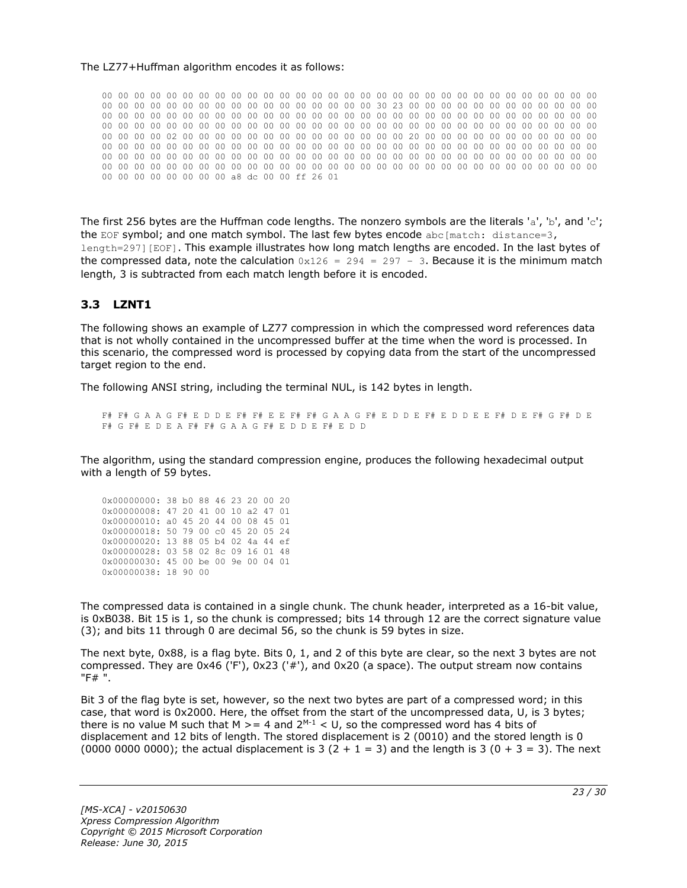#### The LZ77+Huffman algorithm encodes it as follows:

00 00 00 00 00 00 00 00 00 00 00 00 00 00 00 00 00 00 00 00 00 00 00 00 00 00 00 00 00 00 00 00 00 00 00 00 00 00 00 00 00 00 00 00 00 00 00 00 30 23 00 00 00 00 00 00 00 00 00 00 00 00 00 00 00 00 00 00 00 00 00 00 00 00 00 00 00 00 00 00 00 00 00 00 00 00 00 00 00 00 00 00 00 00 00 00 00 00 00 00 00 00 00 00 00 00 00 00 00 00 00 00 00 00 00 00 00 00 00 00 00 00 00 00 00 00 00 00 02 00 00 00 00 00 00 00 00 00 00 00 00 00 00 20 00 00 00 00 00 00 00 00 00 00 00 00 00 00 00 00 00 00 00 00 00 00 00 00 00 00 00 00 00 00 00 00 00 00 00 00 00 00 00 00 00 00 00 00 00 00 00 00 00 00 00 00 00 00 00 00 00 00 00 00 00 00 00 00 00 00 00 00 00 00 00 00 00 00 00 00 00 00 00 00 00 00 00 00 00 00 00 00 00 00 00 00 00 00 00 00 00 00 00 00 00 00 00 00 00 00 00 00 00 00 00 00 a8 dc 00 00 ff 26 01

The first 256 bytes are the Huffman code lengths. The nonzero symbols are the literals 'a', 'b', and 'c'; the EOF symbol; and one match symbol. The last few bytes encode abc[match: distance=3, length=297][EOF]. This example illustrates how long match lengths are encoded. In the last bytes of the compressed data, note the calculation  $0x126 = 294 = 297 - 3$ . Because it is the minimum match length, 3 is subtracted from each match length before it is encoded.

## <span id="page-22-0"></span>**3.3 LZNT1**

The following shows an example of LZ77 compression in which the compressed word references data that is not wholly contained in the uncompressed buffer at the time when the word is processed. In this scenario, the compressed word is processed by copying data from the start of the uncompressed target region to the end.

The following ANSI string, including the terminal NUL, is 142 bytes in length.

F# F# G A A G F# E D D E F# F# E E F# F# G A A G F# E D D E F# E D D E E F# D E F# G F# D E F# G F# E D E A F# F# G A A G F# E D D E F# E D D

The algorithm, using the standard compression engine, produces the following hexadecimal output with a length of 59 bytes.

| 0x00000000: 38 b0 88 46 23 20 00 20 |  |  |  |  |
|-------------------------------------|--|--|--|--|
| 0x00000008: 47 20 41 00 10 a2 47 01 |  |  |  |  |
| 0x00000010: a0 45 20 44 00 08 45 01 |  |  |  |  |
| 0x00000018: 50 79 00 c0 45 20 05 24 |  |  |  |  |
| 0x00000020: 13 88 05 b4 02 4a 44 ef |  |  |  |  |
| 0x00000028: 03 58 02 8c 09 16 01 48 |  |  |  |  |
| 0x00000030: 45 00 be 00 9e 00 04 01 |  |  |  |  |
| 0x00000038: 18 90 00                |  |  |  |  |

The compressed data is contained in a single chunk. The chunk header, interpreted as a 16-bit value, is 0xB038. Bit 15 is 1, so the chunk is compressed; bits 14 through 12 are the correct signature value (3); and bits 11 through 0 are decimal 56, so the chunk is 59 bytes in size.

The next byte, 0x88, is a flag byte. Bits 0, 1, and 2 of this byte are clear, so the next 3 bytes are not compressed. They are 0x46 ('F'), 0x23 ('#'), and 0x20 (a space). The output stream now contains "F# ".

Bit 3 of the flag byte is set, however, so the next two bytes are part of a compressed word; in this case, that word is 0x2000. Here, the offset from the start of the uncompressed data, U, is 3 bytes; there is no value M such that M  $>= 4$  and  $2^{M-1} < U$ , so the compressed word has 4 bits of displacement and 12 bits of length. The stored displacement is 2 (0010) and the stored length is 0 (0000 0000 0000); the actual displacement is 3 (2 + 1 = 3) and the length is 3 (0 + 3 = 3). The next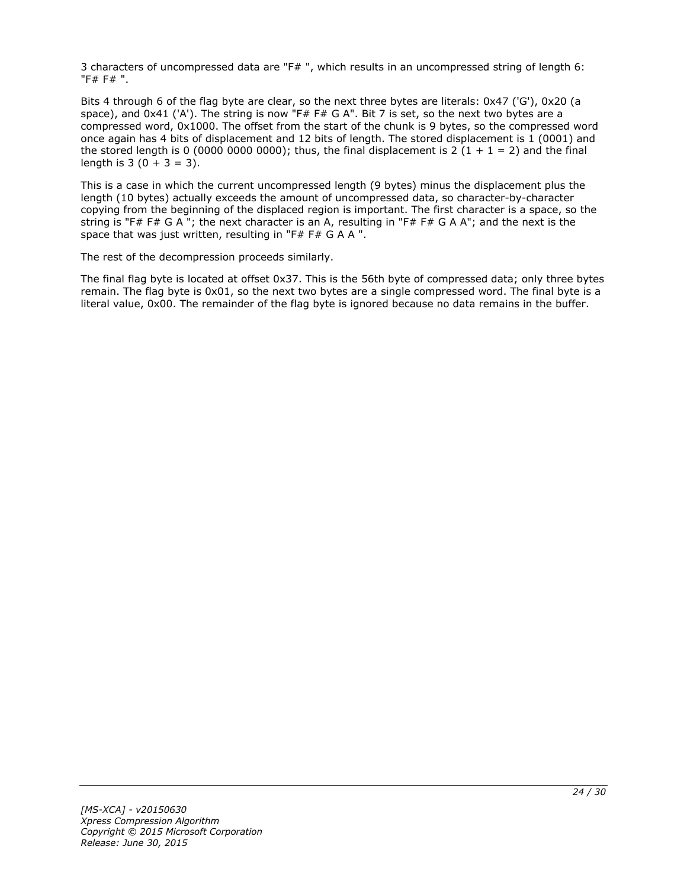3 characters of uncompressed data are "F# ", which results in an uncompressed string of length 6: "F# F# ".

Bits 4 through 6 of the flag byte are clear, so the next three bytes are literals: 0x47 ('G'), 0x20 (a space), and  $0x41$  ('A'). The string is now "F# F# G A". Bit 7 is set, so the next two bytes are a compressed word, 0x1000. The offset from the start of the chunk is 9 bytes, so the compressed word once again has 4 bits of displacement and 12 bits of length. The stored displacement is 1 (0001) and the stored length is 0 (0000 0000 0000); thus, the final displacement is 2 (1 + 1 = 2) and the final length is  $3(0 + 3 = 3)$ .

This is a case in which the current uncompressed length (9 bytes) minus the displacement plus the length (10 bytes) actually exceeds the amount of uncompressed data, so character-by-character copying from the beginning of the displaced region is important. The first character is a space, so the string is "F# F# G A "; the next character is an A, resulting in "F# F# G A A"; and the next is the space that was just written, resulting in "F# F# G A A ".

The rest of the decompression proceeds similarly.

The final flag byte is located at offset 0x37. This is the 56th byte of compressed data; only three bytes remain. The flag byte is 0x01, so the next two bytes are a single compressed word. The final byte is a literal value, 0x00. The remainder of the flag byte is ignored because no data remains in the buffer.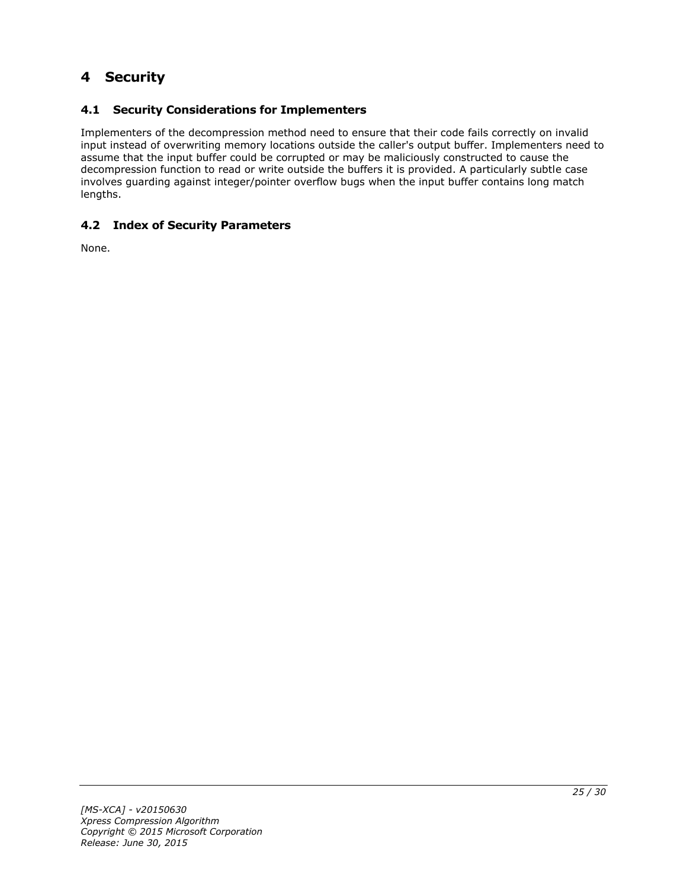## <span id="page-24-0"></span>**4 Security**

## <span id="page-24-1"></span>**4.1 Security Considerations for Implementers**

Implementers of the decompression method need to ensure that their code fails correctly on invalid input instead of overwriting memory locations outside the caller's output buffer. Implementers need to assume that the input buffer could be corrupted or may be maliciously constructed to cause the decompression function to read or write outside the buffers it is provided. A particularly subtle case involves guarding against integer/pointer overflow bugs when the input buffer contains long match lengths.

## <span id="page-24-2"></span>**4.2 Index of Security Parameters**

None.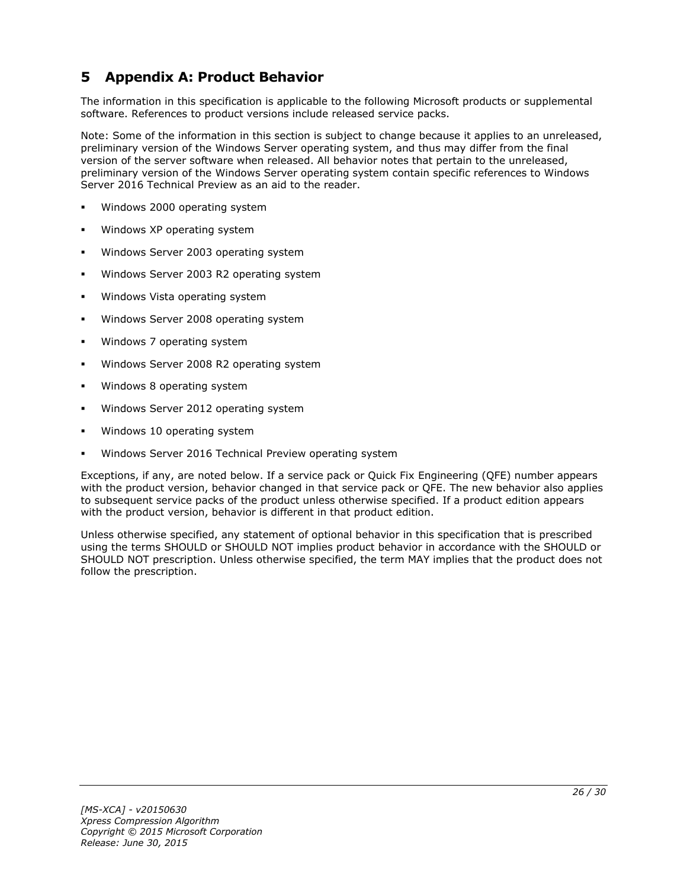## <span id="page-25-0"></span>**5 Appendix A: Product Behavior**

The information in this specification is applicable to the following Microsoft products or supplemental software. References to product versions include released service packs.

Note: Some of the information in this section is subject to change because it applies to an unreleased, preliminary version of the Windows Server operating system, and thus may differ from the final version of the server software when released. All behavior notes that pertain to the unreleased, preliminary version of the Windows Server operating system contain specific references to Windows Server 2016 Technical Preview as an aid to the reader.

- Windows 2000 operating system
- Windows XP operating system
- Windows Server 2003 operating system
- Windows Server 2003 R2 operating system
- Windows Vista operating system
- Windows Server 2008 operating system
- Windows 7 operating system
- Windows Server 2008 R2 operating system
- Windows 8 operating system
- Windows Server 2012 operating system
- Windows 10 operating system
- Windows Server 2016 Technical Preview operating system

Exceptions, if any, are noted below. If a service pack or Quick Fix Engineering (QFE) number appears with the product version, behavior changed in that service pack or QFE. The new behavior also applies to subsequent service packs of the product unless otherwise specified. If a product edition appears with the product version, behavior is different in that product edition.

Unless otherwise specified, any statement of optional behavior in this specification that is prescribed using the terms SHOULD or SHOULD NOT implies product behavior in accordance with the SHOULD or SHOULD NOT prescription. Unless otherwise specified, the term MAY implies that the product does not follow the prescription.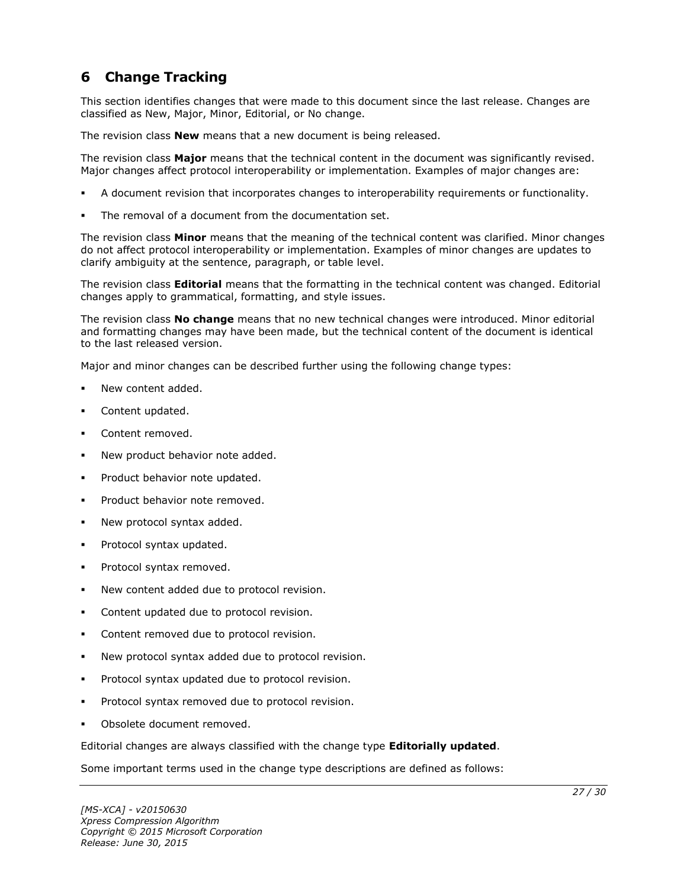## <span id="page-26-0"></span>**6 Change Tracking**

This section identifies changes that were made to this document since the last release. Changes are classified as New, Major, Minor, Editorial, or No change.

The revision class **New** means that a new document is being released.

The revision class **Major** means that the technical content in the document was significantly revised. Major changes affect protocol interoperability or implementation. Examples of major changes are:

- A document revision that incorporates changes to interoperability requirements or functionality.
- The removal of a document from the documentation set.

The revision class **Minor** means that the meaning of the technical content was clarified. Minor changes do not affect protocol interoperability or implementation. Examples of minor changes are updates to clarify ambiguity at the sentence, paragraph, or table level.

The revision class **Editorial** means that the formatting in the technical content was changed. Editorial changes apply to grammatical, formatting, and style issues.

The revision class **No change** means that no new technical changes were introduced. Minor editorial and formatting changes may have been made, but the technical content of the document is identical to the last released version.

Major and minor changes can be described further using the following change types:

- New content added.
- Content updated.
- Content removed.
- New product behavior note added.
- Product behavior note updated.
- Product behavior note removed.
- New protocol syntax added.
- Protocol syntax updated.
- Protocol syntax removed.
- New content added due to protocol revision.
- Content updated due to protocol revision.
- Content removed due to protocol revision.
- New protocol syntax added due to protocol revision.
- Protocol syntax updated due to protocol revision.
- Protocol syntax removed due to protocol revision.
- Obsolete document removed.

Editorial changes are always classified with the change type **Editorially updated**.

Some important terms used in the change type descriptions are defined as follows: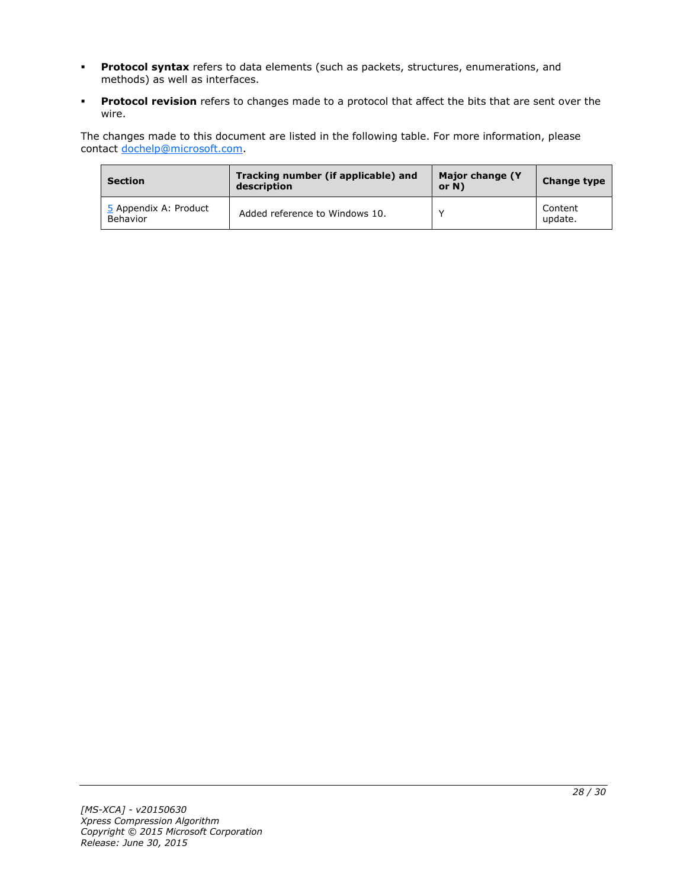- **Protocol syntax** refers to data elements (such as packets, structures, enumerations, and methods) as well as interfaces.
- **Protocol revision** refers to changes made to a protocol that affect the bits that are sent over the wire.

The changes made to this document are listed in the following table. For more information, please contact [dochelp@microsoft.com.](mailto:dochelp@microsoft.com)

| <b>Section</b>                    | Tracking number (if applicable) and<br>description | Major change (Y<br>or $N$ ) | <b>Change type</b> |
|-----------------------------------|----------------------------------------------------|-----------------------------|--------------------|
| 5 Appendix A: Product<br>Behavior | Added reference to Windows 10.                     |                             | Content<br>update. |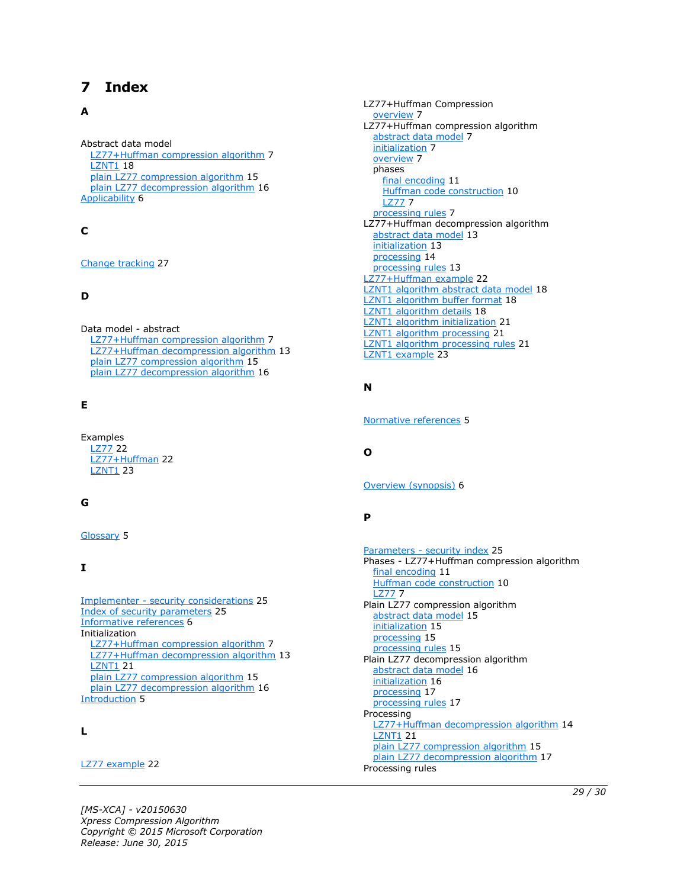## <span id="page-28-0"></span>**7 Index**

#### **A**

Abstract data model [LZ77+Huffman compression algorithm](#page-6-2) 7 [LZNT1](#page-17-1) 18 [plain LZ77 compression algorithm](#page-14-1) 15 [plain LZ77 decompression algorithm](#page-15-1) 16 [Applicability](#page-5-3) 6

#### **C**

#### [Change tracking](#page-26-0) 27

#### **D**

Data model - abstract [LZ77+Huffman compression algorithm](#page-6-2) 7 [LZ77+Huffman decompression algorithm](#page-12-1) 13 [plain LZ77 compression algorithm](#page-14-1) 15 [plain LZ77 decompression algorithm](#page-15-1) 16

#### **E**

Examples [LZ77](#page-21-1) 22 [LZ77+Huffman](#page-21-2) 22 [LZNT1](#page-22-0) 23

#### **G**

[Glossary](#page-4-1) 5

#### **I**

Implementer - [security considerations](#page-24-1) 25 [Index of security parameters](#page-24-2) 25 [Informative references](#page-5-0) 6 Initialization [LZ77+Huffman compression algorithm](#page-6-3) 7 [LZ77+Huffman decompression algorithm](#page-12-2) 13 [LZNT1](#page-20-0) 21 [plain LZ77 compression algorithm](#page-14-2) 15 [plain LZ77 decompression algorithm](#page-15-2) 16 [Introduction](#page-4-0) 5

#### **L**

[LZ77 example](#page-21-1) 22

LZ77+Huffman Compression [overview](#page-6-1) 7 LZ77+Huffman compression algorithm [abstract data model](#page-6-2) 7 [initialization](#page-6-3) 7 [overview](#page-6-1) 7 phases [final encoding](#page-10-0) 11 [Huffman code construction](#page-9-0) 10 [LZ77](#page-6-6) 7 [processing rules](#page-6-4) 7 LZ77+Huffman decompression algorithm [abstract data model](#page-12-1) 13 [initialization](#page-12-2) 13 [processing](#page-13-0) 14 [processing rules](#page-12-3) 13 [LZ77+Huffman example](#page-21-2) 22 [LZNT1 algorithm abstract data model](#page-17-1) 18 [LZNT1 algorithm buffer format](#page-17-2) 18 [LZNT1 algorithm details](#page-17-0) 18 [LZNT1 algorithm initialization](#page-20-0) 21 [LZNT1 algorithm processing](#page-20-2) 21 [LZNT1 algorithm processing rules](#page-20-1) 21 [LZNT1 example](#page-22-0) 23

#### **N**

[Normative references](#page-4-3) 5

#### **O**

[Overview \(synopsis\)](#page-5-1) 6

#### **P**

```
security index 25
Phases - LZ77+Huffman compression algorithm
  final encoding 11
  Huffman code construction 10
   LZ77 7
Plain LZ77 compression algorithm
  abstract data model 15
  initialization 15
  processing 15
  processing rules 15
Plain LZ77 decompression algorithm
  abstract data model 16
  initialization 16
  processing 17
  processing rules 17
Processing
  LZ77+Huffman decompression algorithm 14
  LZNT1 21
 plain LZ77 compression algorithm 15
  plain LZ77 decompression algorithm 17
Processing rules
```